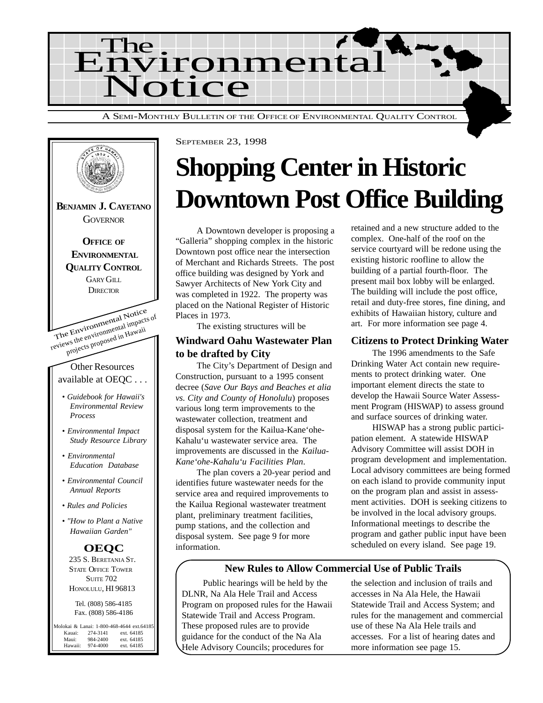

The Environmental Notice reviews the environmental impacts of projects proposed in Hawaii Other Resources available at OEQC . . . *• Guidebook for Hawaii's Environmental Review Process • Environmental Impact Study Resource Library • Environmental Education Database • Environmental Council Annual Reports • Rules and Policies • "How to Plant a Native Hawaiian Garden"* **BENJAMIN J. CAYETANO GOVERNOR OFFICE OF ENVIRONMENTAL QUALITY CONTROL** GARY GILL **DIRECTOR OEQC** 235 S. BERETANIA ST. STATE OFFICE TOWER **SUITE 702** HONOLULU, HI 96813 Tel. (808) 586-4185 Fax. (808) 586-4186 Molokai & Lanai: 1-800-468-4644 ext.64185<br>Kauai: 274-3141 ext. 64185 Kauai: 274-3141 ext. 64185<br>Maui: 984-2400 ext. 64185 Maui: 984-2400 ext. 64185<br>Hawaii: 974-4000 ext. 64185

ext. 64185

SEPTEMBER 23, 1998

## **Shopping Center in Historic Downtown Post Office Building**

A Downtown developer is proposing a "Galleria" shopping complex in the historic Downtown post office near the intersection of Merchant and Richards Streets. The post office building was designed by York and Sawyer Architects of New York City and was completed in 1922. The property was placed on the National Register of Historic Places in 1973.

The existing structures will be

#### **Windward Oahu Wastewater Plan to be drafted by City**

The City's Department of Design and Construction, pursuant to a 1995 consent decree (*Save Our Bays and Beaches et alia vs. City and County of Honolulu*) proposes various long term improvements to the wastewater collection, treatment and disposal system for the Kailua-Kane'ohe-Kahalu'u wastewater service area. The improvements are discussed in the *Kailua-Kane'ohe-Kahalu'u Facilities Plan*.

The plan covers a 20-year period and identifies future wastewater needs for the service area and required improvements to the Kailua Regional wastewater treatment plant, preliminary treatment facilities, pump stations, and the collection and disposal system. See page 9 for more information.

retained and a new structure added to the complex. One-half of the roof on the service courtyard will be redone using the existing historic roofline to allow the building of a partial fourth-floor. The present mail box lobby will be enlarged. The building will include the post office, retail and duty-free stores, fine dining, and exhibits of Hawaiian history, culture and art. For more information see page 4.

#### **Citizens to Protect Drinking Water**

The 1996 amendments to the Safe Drinking Water Act contain new requirements to protect drinking water. One important element directs the state to develop the Hawaii Source Water Assessment Program (HISWAP) to assess ground and surface sources of drinking water.

HISWAP has a strong public participation element. A statewide HISWAP Advisory Committee will assist DOH in program development and implementation. Local advisory committees are being formed on each island to provide community input on the program plan and assist in assessment activities. DOH is seeking citizens to be involved in the local advisory groups. Informational meetings to describe the program and gather public input have been scheduled on every island. See page 19.

#### **New Rules to Allow Commercial Use of Public Trails**

Public hearings will be held by the DLNR, Na Ala Hele Trail and Access Program on proposed rules for the Hawaii Statewide Trail and Access Program. These proposed rules are to provide guidance for the conduct of the Na Ala Hele Advisory Councils; procedures for

the selection and inclusion of trails and accesses in Na Ala Hele, the Hawaii Statewide Trail and Access System; and rules for the management and commercial use of these Na Ala Hele trails and accesses. For a list of hearing dates and more information see page 15.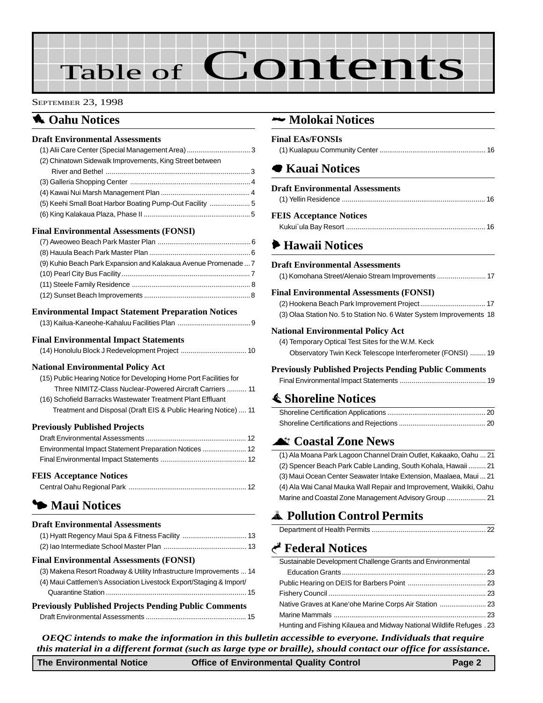# Table of Contents

#### SEPTEMBER 23, 1998

## **1** Oahu Notices

#### **Draft Environmental Assessments**

| (2) Chinatown Sidewalk Improvements, King Street between |  |
|----------------------------------------------------------|--|
|                                                          |  |
|                                                          |  |
|                                                          |  |
| (5) Keehi Small Boat Harbor Boating Pump-Out Facility 5  |  |
|                                                          |  |
|                                                          |  |

#### **Final Environmental Assessments (FONSI)**

| (9) Kuhio Beach Park Expansion and Kalakaua Avenue Promenade  7 |  |
|-----------------------------------------------------------------|--|
|                                                                 |  |
|                                                                 |  |
|                                                                 |  |

#### **Environmental Impact Statement Preparation Notices**

#### **Final Environmental Impact Statements**

|--|

#### **National Environmental Policy Act**

| (15) Public Hearing Notice for Developing Home Port Facilities for |
|--------------------------------------------------------------------|
| Three NIMITZ-Class Nuclear-Powered Aircraft Carriers  11           |
| (16) Schofield Barracks Wastewater Treatment Plant Effluant        |
| Treatment and Disposal (Draft EIS & Public Hearing Notice)  11     |

#### **Previously Published Projects**

#### **FEIS Acceptance Notices**

## 3 **[Maui Notices](#page-12-0)**

#### **Draft Environmental Assessments**

#### **Final Environmental Assessments (FONSI)**

| <b>Previously Published Projects Pending Public Comments</b>        |  |
|---------------------------------------------------------------------|--|
|                                                                     |  |
| (4) Maui Cattlemen's Association Livestock Export/Staging & Import/ |  |
| (3) Makena Resort Roadway & Utility Infrastructure Improvements  14 |  |
|                                                                     |  |

#### 2 **Molokai Notices**

| <b>Final EAs/FONSIs</b>                |  |
|----------------------------------------|--|
| <b>■ Kauai Notices</b>                 |  |
| <b>Draft Environmental Assessments</b> |  |
|                                        |  |
| <b>FEIS Acceptance Notices</b>         |  |
|                                        |  |

### 6 **Hawaii Notices**

#### **Draft Environmental Assessments**

#### **Final Environmental Assessments (FONSI)**

| (3) Olaa Station No. 5 to Station No. 6 Water System Improvements 18 |  |
|----------------------------------------------------------------------|--|

#### **National Environmental Policy Act**

[\(4\) Temporary Optical Test Sites for the W.M. Keck](#page-18-0) Observatory Twin Keck Telescope Interferometer (FONSI) ........ 19

#### **Previously Published Projects Pending Public Comments**

|--|

### s **Shoreline Notices**

### ^ **[Coastal Zone News](#page-20-0)**

[\(1\) Ala Moana Park Lagoon Channel Drain Outlet, Kakaako, Oahu ... 21](#page-20-0) [\(2\) Spencer Beach Park Cable Landing, South Kohala, Hawaii ......... 21](#page-20-0) [\(3\) Maui Ocean Center Seawater Intake Extension, Maalaea, Maui ... 21](#page-20-0) (4) Ala Wai Canal Mauka Wall Repair and Improvement, Waikiki, Oahu [Marine and Coastal Zone Management Advisory Group](#page-20-0) .................... 21

## V **Pollution Control Permits**

## G **[Federal Notices](#page-22-0)**

| Sustainable Development Challenge Grants and Environmental            |  |
|-----------------------------------------------------------------------|--|
|                                                                       |  |
|                                                                       |  |
|                                                                       |  |
|                                                                       |  |
|                                                                       |  |
| Hunting and Fishing Kilauea and Midway National Wildlife Refuges . 23 |  |

*OEQC intends to make the information in this bulletin accessible to everyone. Individuals that require this material in a different format (such as large type or braille), should contact our office for assistance.*

**The Environmental Notice Office of Environmental Quality Control Page 2**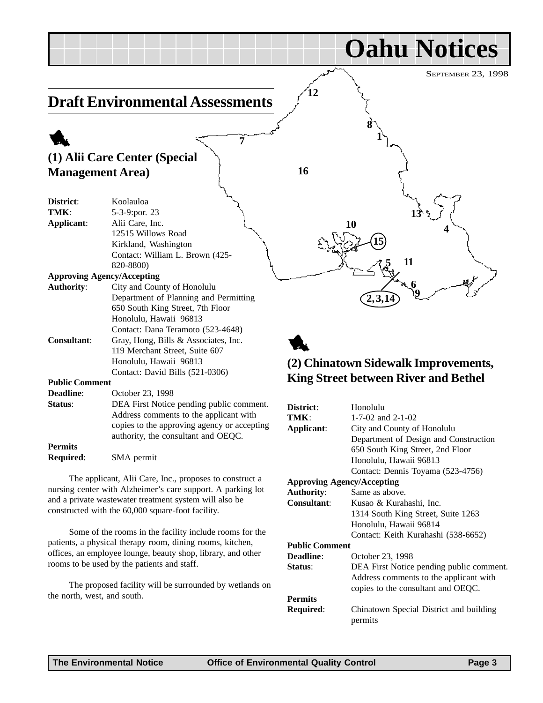<span id="page-2-0"></span>

|                          |                                                             |            | <b>Oahu Notices</b>                         |
|--------------------------|-------------------------------------------------------------|------------|---------------------------------------------|
|                          |                                                             |            | SEPTEMBER 23, 1998                          |
|                          | <b>Draft Environmental Assessments</b>                      |            |                                             |
|                          | 7                                                           |            |                                             |
|                          | (1) Alii Care Center (Special                               |            |                                             |
| <b>Management Area</b> ) |                                                             | 16         |                                             |
| District:<br>TMK:        | Koolauloa<br>5-3-9:por. 23                                  |            |                                             |
| Applicant:               | Alii Care, Inc.                                             |            | 10                                          |
|                          | 12515 Willows Road                                          |            |                                             |
|                          | Kirkland, Washington                                        |            |                                             |
|                          | Contact: William L. Brown (425-                             |            |                                             |
|                          | 820-8800)                                                   |            | 11                                          |
|                          | <b>Approving Agency/Accepting</b>                           |            |                                             |
| <b>Authority:</b>        | City and County of Honolulu                                 |            |                                             |
|                          | Department of Planning and Permitting                       |            | 2, 3, 1                                     |
|                          | 650 South King Street, 7th Floor                            |            |                                             |
|                          | Honolulu, Hawaii 96813<br>Contact: Dana Teramoto (523-4648) |            |                                             |
| <b>Consultant:</b>       | Gray, Hong, Bills & Associates, Inc.                        |            |                                             |
|                          | 119 Merchant Street, Suite 607                              |            |                                             |
|                          | Honolulu, Hawaii 96813                                      |            | (2) Chinatown Sidewalk Improvements,        |
|                          | Contact: David Bills (521-0306)                             |            |                                             |
| <b>Public Comment</b>    |                                                             |            | <b>King Street between River and Bethel</b> |
| Deadline:                | October 23, 1998                                            |            |                                             |
| Status:                  | DEA First Notice pending public comment.                    | District:  | Honolulu                                    |
|                          | Address comments to the applicant with                      | TMK:       | 1-7-02 and 2-1-02                           |
|                          | copies to the approving agency or accepting                 | Applicant: | City and County of Honolulu                 |
| <b>Permits</b>           | authority, the consultant and OEQC.                         |            | Department of Design and Construction       |
| Required:                | SMA permit                                                  |            | 650 South King Street, 2nd Floor            |
|                          |                                                             |            | Honolulu, Hawaii 96813                      |

The applicant, Alii Care, Inc., proposes to construct a nursing center with Alzheimer's care support. A parking lot and a private wastewater treatment system will also be constructed with the 60,000 square-foot facility.

Some of the rooms in the facility include rooms for the patients, a physical therapy room, dining rooms, kitchen, offices, an employee lounge, beauty shop, library, and other rooms to be used by the patients and staff.

The proposed facility will be surrounded by wetlands on the north, west, and south.

| District:                         | Honolulu                                           |  |
|-----------------------------------|----------------------------------------------------|--|
| TMK:                              | $1 - 7 - 02$ and $2 - 1 - 02$                      |  |
| Applicant:                        | City and County of Honolulu                        |  |
|                                   | Department of Design and Construction              |  |
|                                   | 650 South King Street, 2nd Floor                   |  |
|                                   | Honolulu, Hawaii 96813                             |  |
|                                   | Contact: Dennis Toyama (523-4756)                  |  |
| <b>Approving Agency/Accepting</b> |                                                    |  |
| <b>Authority:</b>                 | Same as above.                                     |  |
| <b>Consultant:</b>                | Kusao & Kurahashi, Inc.                            |  |
|                                   | 1314 South King Street, Suite 1263                 |  |
|                                   | Honolulu, Hawaii 96814                             |  |
|                                   | Contact: Keith Kurahashi (538-6652)                |  |
| <b>Public Comment</b>             |                                                    |  |
| <b>Deadline:</b>                  | October 23, 1998                                   |  |
| <b>Status:</b>                    | DEA First Notice pending public comment.           |  |
|                                   | Address comments to the applicant with             |  |
|                                   | copies to the consultant and OEQC.                 |  |
| Permits                           |                                                    |  |
| <b>Required:</b>                  | Chinatown Special District and building<br>permits |  |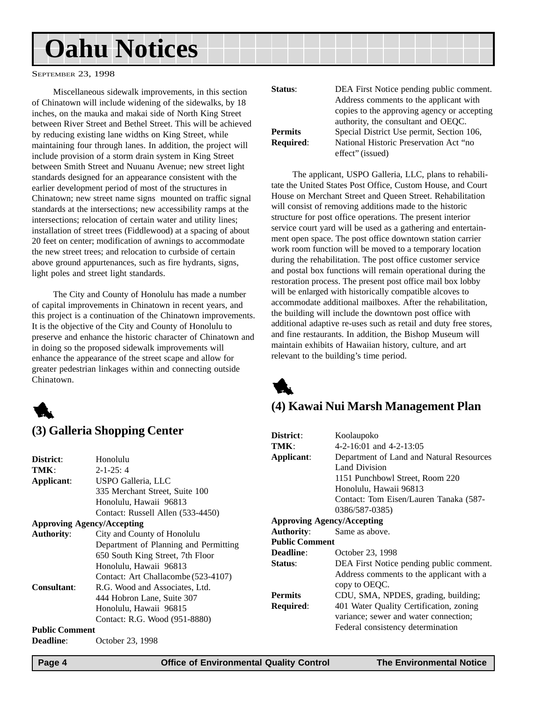<span id="page-3-0"></span>SEPTEMBER 23, 1998

Miscellaneous sidewalk improvements, in this section of Chinatown will include widening of the sidewalks, by 18 inches, on the mauka and makai side of North King Street between River Street and Bethel Street. This will be achieved by reducing existing lane widths on King Street, while maintaining four through lanes. In addition, the project will include provision of a storm drain system in King Street between Smith Street and Nuuanu Avenue; new street light standards designed for an appearance consistent with the earlier development period of most of the structures in Chinatown; new street name signs mounted on traffic signal standards at the intersections; new accessibility ramps at the intersections; relocation of certain water and utility lines; installation of street trees (Fiddlewood) at a spacing of about 20 feet on center; modification of awnings to accommodate the new street trees; and relocation to curbside of certain above ground appurtenances, such as fire hydrants, signs, light poles and street light standards.

The City and County of Honolulu has made a number of capital improvements in Chinatown in recent years, and this project is a continuation of the Chinatown improvements. It is the objective of the City and County of Honolulu to preserve and enhance the historic character of Chinatown and in doing so the proposed sidewalk improvements will enhance the appearance of the street scape and allow for greater pedestrian linkages within and connecting outside Chinatown.



## **(3) Galleria Shopping Center**

| Status:          | DEA First Notice pending public comment.<br>Address comments to the applicant with |
|------------------|------------------------------------------------------------------------------------|
|                  | copies to the approving agency or accepting                                        |
|                  | authority, the consultant and OEQC.                                                |
| <b>Permits</b>   | Special District Use permit, Section 106,                                          |
| <b>Required:</b> | National Historic Preservation Act "no                                             |
|                  | effect" (issued)                                                                   |

The applicant, USPO Galleria, LLC, plans to rehabilitate the United States Post Office, Custom House, and Court House on Merchant Street and Queen Street. Rehabilitation will consist of removing additions made to the historic structure for post office operations. The present interior service court yard will be used as a gathering and entertainment open space. The post office downtown station carrier work room function will be moved to a temporary location during the rehabilitation. The post office customer service and postal box functions will remain operational during the restoration process. The present post office mail box lobby will be enlarged with historically compatible alcoves to accommodate additional mailboxes. After the rehabilitation, the building will include the downtown post office with additional adaptive re-uses such as retail and duty free stores, and fine restaurants. In addition, the Bishop Museum will maintain exhibits of Hawaiian history, culture, and art relevant to the building's time period.



## **(4) Kawai Nui Marsh Management Plan**

| (3) Ganeria Shopping Center       |                                       | District:                         | Koolaupoko                               |
|-----------------------------------|---------------------------------------|-----------------------------------|------------------------------------------|
|                                   |                                       | TMK:                              | $4-2-16:01$ and $4-2-13:05$              |
| <b>District:</b>                  | Honolulu                              | Applicant:                        | Department of Land and Natural Resources |
| TMK:                              | $2 - 1 - 25:4$                        |                                   | Land Division                            |
| Applicant:                        | USPO Galleria, LLC                    |                                   | 1151 Punchbowl Street, Room 220          |
|                                   | 335 Merchant Street, Suite 100        |                                   | Honolulu, Hawaii 96813                   |
|                                   | Honolulu, Hawaii 96813                |                                   | Contact: Tom Eisen/Lauren Tanaka (587-   |
|                                   | Contact: Russell Allen (533-4450)     |                                   | 0386/587-0385)                           |
| <b>Approving Agency/Accepting</b> |                                       | <b>Approving Agency/Accepting</b> |                                          |
| Authority:                        | City and County of Honolulu           | <b>Authority:</b>                 | Same as above.                           |
|                                   | Department of Planning and Permitting | <b>Public Comment</b>             |                                          |
|                                   | 650 South King Street, 7th Floor      | <b>Deadline:</b>                  | October 23, 1998                         |
|                                   | Honolulu, Hawaii 96813                | Status:                           | DEA First Notice pending public comment. |
|                                   | Contact: Art Challacombe (523-4107)   |                                   | Address comments to the applicant with a |
| <b>Consultant:</b>                | R.G. Wood and Associates, Ltd.        |                                   | copy to OEQC.                            |
|                                   | 444 Hobron Lane, Suite 307            | <b>Permits</b>                    | CDU, SMA, NPDES, grading, building;      |
|                                   | Honolulu, Hawaii 96815                | <b>Required:</b>                  | 401 Water Quality Certification, zoning  |
|                                   | Contact: R.G. Wood (951-8880)         |                                   | variance; sewer and water connection;    |
| <b>Public Comment</b>             |                                       |                                   | Federal consistency determination        |
| <b>Deadline:</b>                  | October 23, 1998                      |                                   |                                          |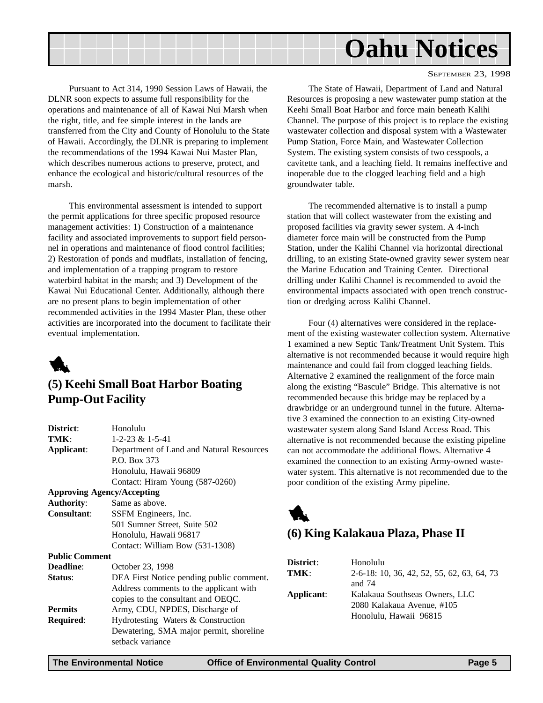<span id="page-4-0"></span>

SEPTEMBER 23, 1998

Pursuant to Act 314, 1990 Session Laws of Hawaii, the DLNR soon expects to assume full responsibility for the operations and maintenance of all of Kawai Nui Marsh when the right, title, and fee simple interest in the lands are transferred from the City and County of Honolulu to the State of Hawaii. Accordingly, the DLNR is preparing to implement the recommendations of the 1994 Kawai Nui Master Plan, which describes numerous actions to preserve, protect, and enhance the ecological and historic/cultural resources of the marsh.

This environmental assessment is intended to support the permit applications for three specific proposed resource management activities: 1) Construction of a maintenance facility and associated improvements to support field personnel in operations and maintenance of flood control facilities; 2) Restoration of ponds and mudflats, installation of fencing, and implementation of a trapping program to restore waterbird habitat in the marsh; and 3) Development of the Kawai Nui Educational Center. Additionally, although there are no present plans to begin implementation of other recommended activities in the 1994 Master Plan, these other activities are incorporated into the document to facilitate their eventual implementation.



## **(5) Keehi Small Boat Harbor Boating Pump-Out Facility**

| District:                         | Honolulu                                 |
|-----------------------------------|------------------------------------------|
| TMK:                              | $1 - 2 - 23 \& 1 - 5 - 41$               |
| Applicant:                        | Department of Land and Natural Resources |
|                                   | P.O. Box 373                             |
|                                   | Honolulu, Hawaii 96809                   |
|                                   | Contact: Hiram Young (587-0260)          |
| <b>Approving Agency/Accepting</b> |                                          |
| <b>Authority:</b>                 | Same as above.                           |
| <b>Consultant:</b>                | SSFM Engineers, Inc.                     |
|                                   | 501 Sumner Street, Suite 502             |
|                                   | Honolulu, Hawaii 96817                   |
|                                   | Contact: William Bow (531-1308)          |
| <b>Public Comment</b>             |                                          |
| <b>Deadline:</b>                  | October 23, 1998                         |
| Status:                           | DEA First Notice pending public comment. |
|                                   | Address comments to the applicant with   |
|                                   | copies to the consultant and OEQC.       |
| <b>Permits</b>                    | Army, CDU, NPDES, Discharge of           |
| Required:                         | Hydrotesting Waters & Construction       |
|                                   | Dewatering, SMA major permit, shoreline  |
|                                   | setback variance                         |
|                                   |                                          |

The State of Hawaii, Department of Land and Natural Resources is proposing a new wastewater pump station at the Keehi Small Boat Harbor and force main beneath Kalihi Channel. The purpose of this project is to replace the existing wastewater collection and disposal system with a Wastewater Pump Station, Force Main, and Wastewater Collection System. The existing system consists of two cesspools, a cavitette tank, and a leaching field. It remains ineffective and inoperable due to the clogged leaching field and a high groundwater table.

The recommended alternative is to install a pump station that will collect wastewater from the existing and proposed facilities via gravity sewer system. A 4-inch diameter force main will be constructed from the Pump Station, under the Kalihi Channel via horizontal directional drilling, to an existing State-owned gravity sewer system near the Marine Education and Training Center. Directional drilling under Kalihi Channel is recommended to avoid the environmental impacts associated with open trench construction or dredging across Kalihi Channel.

Four (4) alternatives were considered in the replacement of the existing wastewater collection system. Alternative 1 examined a new Septic Tank/Treatment Unit System. This alternative is not recommended because it would require high maintenance and could fail from clogged leaching fields. Alternative 2 examined the realignment of the force main along the existing "Bascule" Bridge. This alternative is not recommended because this bridge may be replaced by a drawbridge or an underground tunnel in the future. Alternative 3 examined the connection to an existing City-owned wastewater system along Sand Island Access Road. This alternative is not recommended because the existing pipeline can not accommodate the additional flows. Alternative 4 examined the connection to an existing Army-owned wastewater system. This alternative is not recommended due to the poor condition of the existing Army pipeline.



## **(6) King Kalakaua Plaza, Phase II**

| District:  | Honolulu                                   |
|------------|--------------------------------------------|
| TMK:       | 2-6-18: 10, 36, 42, 52, 55, 62, 63, 64, 73 |
|            | and $74$                                   |
| Applicant: | Kalakaua Southseas Owners, LLC             |
|            | 2080 Kalakaua Avenue, #105                 |
|            | Honolulu, Hawaii 96815                     |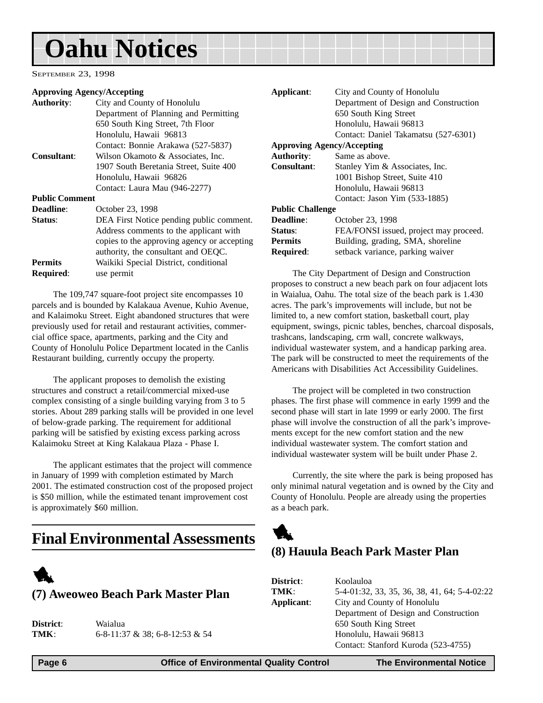<span id="page-5-0"></span>SEPTEMBER 23, 1998

#### **Approving Agency/Accepting**

| <b>Authority:</b>     | City and County of Honolulu                 |
|-----------------------|---------------------------------------------|
|                       | Department of Planning and Permitting       |
|                       | 650 South King Street, 7th Floor            |
|                       | Honolulu, Hawaii 96813                      |
|                       | Contact: Bonnie Arakawa (527-5837)          |
| <b>Consultant:</b>    | Wilson Okamoto & Associates, Inc.           |
|                       | 1907 South Beretania Street, Suite 400      |
|                       | Honolulu, Hawaii 96826                      |
|                       | Contact: Laura Mau (946-2277)               |
| <b>Public Comment</b> |                                             |
| <b>Deadline:</b>      | October 23, 1998                            |
| Status:               | DEA First Notice pending public comment.    |
|                       | Address comments to the applicant with      |
|                       | copies to the approving agency or accepting |
|                       | authority, the consultant and OEQC.         |
| <b>Permits</b>        | Waikiki Special District, conditional       |
| <b>Required:</b>      | use permit                                  |
|                       |                                             |

The 109,747 square-foot project site encompasses 10 parcels and is bounded by Kalakaua Avenue, Kuhio Avenue, and Kalaimoku Street. Eight abandoned structures that were previously used for retail and restaurant activities, commercial office space, apartments, parking and the City and County of Honolulu Police Department located in the Canlis Restaurant building, currently occupy the property.

The applicant proposes to demolish the existing structures and construct a retail/commercial mixed-use complex consisting of a single building varying from 3 to 5 stories. About 289 parking stalls will be provided in one level of below-grade parking. The requirement for additional parking will be satisfied by existing excess parking across Kalaimoku Street at King Kalakaua Plaza - Phase I.

The applicant estimates that the project will commence in January of 1999 with completion estimated by March 2001. The estimated construction cost of the proposed project is \$50 million, while the estimated tenant improvement cost is approximately \$60 million.

## **Final Environmental Assessments**



| <b>District</b> : | Waialua                            |
|-------------------|------------------------------------|
| TMK:              | $6-8-11:37 \& 38; 6-8-12:53 \& 54$ |

**Applicant**: City and County of Honolulu Department of Design and Construction 650 South King Street Honolulu, Hawaii 96813 Contact: Daniel Takamatsu (527-6301) **Approving Agency/Accepting Authority**: Same as above. **Consultant**: Stanley Yim & Associates, Inc. 1001 Bishop Street, Suite 410 Honolulu, Hawaii 96813 Contact: Jason Yim (533-1885) **Public Challenge Deadline**: October 23, 1998 **Status:** FEA/FONSI issued, project may proceed. **Permits** Building, grading, SMA, shoreline **Required:** setback variance, parking waiver

The City Department of Design and Construction proposes to construct a new beach park on four adjacent lots in Waialua, Oahu. The total size of the beach park is 1.430 acres. The park's improvements will include, but not be limited to, a new comfort station, basketball court, play equipment, swings, picnic tables, benches, charcoal disposals, trashcans, landscaping, crm wall, concrete walkways, individual wastewater system, and a handicap parking area. The park will be constructed to meet the requirements of the Americans with Disabilities Act Accessibility Guidelines.

The project will be completed in two construction phases. The first phase will commence in early 1999 and the second phase will start in late 1999 or early 2000. The first phase will involve the construction of all the park's improvements except for the new comfort station and the new individual wastewater system. The comfort station and individual wastewater system will be built under Phase 2.

Currently, the site where the park is being proposed has only minimal natural vegetation and is owned by the City and County of Honolulu. People are already using the properties as a beach park.



## **(8) Hauula Beach Park Master Plan**

| <b>District:</b> | Koolauloa                                    |
|------------------|----------------------------------------------|
| TMK:             | 5-4-01:32, 33, 35, 36, 38, 41, 64; 5-4-02:22 |
| Applicant:       | City and County of Honolulu                  |
|                  | Department of Design and Construction        |
|                  | 650 South King Street                        |
|                  | Honolulu, Hawaii 96813                       |
|                  | Contact: Stanford Kuroda (523-4755)          |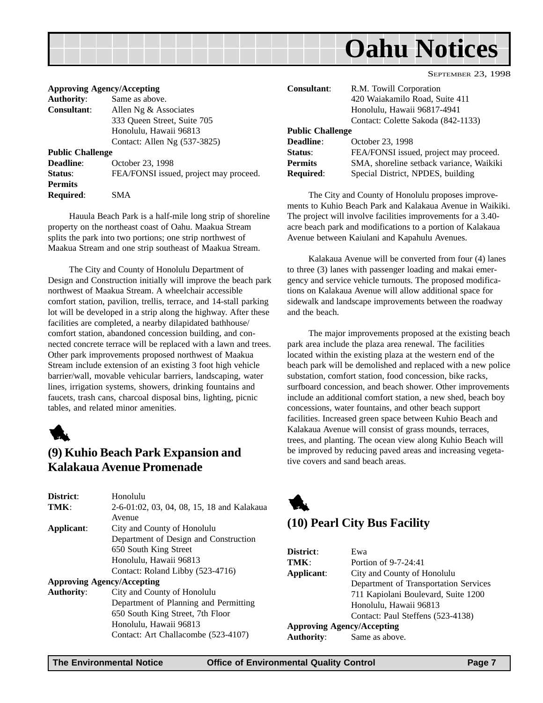<span id="page-6-0"></span>

| September 23, 1998 |  |
|--------------------|--|
|                    |  |

| <b>Approving Agency/Accepting</b> |                                        |
|-----------------------------------|----------------------------------------|
| <b>Authority:</b>                 | Same as above.                         |
| Consultant:                       | Allen Ng $&$ Associates                |
|                                   | 333 Oueen Street, Suite 705            |
|                                   | Honolulu, Hawaii 96813                 |
|                                   | Contact: Allen Ng (537-3825)           |
| <b>Public Challenge</b>           |                                        |
| <b>Deadline:</b>                  | October 23, 1998                       |
| Status:                           | FEA/FONSI issued, project may proceed. |
| <b>Permits</b>                    |                                        |
| Required:                         | SM A                                   |

Hauula Beach Park is a half-mile long strip of shoreline property on the northeast coast of Oahu. Maakua Stream splits the park into two portions; one strip northwest of Maakua Stream and one strip southeast of Maakua Stream.

The City and County of Honolulu Department of Design and Construction initially will improve the beach park northwest of Maakua Stream. A wheelchair accessible comfort station, pavilion, trellis, terrace, and 14-stall parking lot will be developed in a strip along the highway. After these facilities are completed, a nearby dilapidated bathhouse/ comfort station, abandoned concession building, and connected concrete terrace will be replaced with a lawn and trees. Other park improvements proposed northwest of Maakua Stream include extension of an existing 3 foot high vehicle barrier/wall, movable vehicular barriers, landscaping, water lines, irrigation systems, showers, drinking fountains and faucets, trash cans, charcoal disposal bins, lighting, picnic tables, and related minor amenities.



### **(9) Kuhio Beach Park Expansion and Kalakaua Avenue Promenade**

| District:         | Honolulu                                   |
|-------------------|--------------------------------------------|
| TMK:              | 2-6-01:02, 03, 04, 08, 15, 18 and Kalakaua |
|                   | Avenue                                     |
| Applicant:        | City and County of Honolulu                |
|                   | Department of Design and Construction      |
|                   | 650 South King Street                      |
|                   | Honolulu, Hawaii 96813                     |
|                   | Contact: Roland Libby (523-4716)           |
|                   | <b>Approving Agency/Accepting</b>          |
| <b>Authority:</b> | City and County of Honolulu                |
|                   | Department of Planning and Permitting      |
|                   | 650 South King Street, 7th Floor           |
|                   | Honolulu, Hawaii 96813                     |

Contact: Art Challacombe (523-4107)

| <b>Consultant:</b>      | R.M. Towill Corporation<br>420 Waiakamilo Road, Suite 411<br>Honolulu, Hawaii 96817-4941 |
|-------------------------|------------------------------------------------------------------------------------------|
|                         | Contact: Colette Sakoda (842-1133)                                                       |
| <b>Public Challenge</b> |                                                                                          |
| Deadline:               | October 23, 1998                                                                         |
| Status:                 | FEA/FONSI issued, project may proceed.                                                   |
| <b>Permits</b>          | SMA, shoreline setback variance, Waikiki                                                 |
| <b>Required:</b>        | Special District, NPDES, building                                                        |

The City and County of Honolulu proposes improvements to Kuhio Beach Park and Kalakaua Avenue in Waikiki. The project will involve facilities improvements for a 3.40 acre beach park and modifications to a portion of Kalakaua Avenue between Kaiulani and Kapahulu Avenues.

Kalakaua Avenue will be converted from four (4) lanes to three (3) lanes with passenger loading and makai emergency and service vehicle turnouts. The proposed modifications on Kalakaua Avenue will allow additional space for sidewalk and landscape improvements between the roadway and the beach.

The major improvements proposed at the existing beach park area include the plaza area renewal. The facilities located within the existing plaza at the western end of the beach park will be demolished and replaced with a new police substation, comfort station, food concession, bike racks, surfboard concession, and beach shower. Other improvements include an additional comfort station, a new shed, beach boy concessions, water fountains, and other beach support facilities. Increased green space between Kuhio Beach and Kalakaua Avenue will consist of grass mounds, terraces, trees, and planting. The ocean view along Kuhio Beach will be improved by reducing paved areas and increasing vegetative covers and sand beach areas.



### **(10) Pearl City Bus Facility**

| District:                         | Ewa                                   |
|-----------------------------------|---------------------------------------|
| TMK:                              | Portion of $9-7-24:41$                |
| Applicant:                        | City and County of Honolulu           |
|                                   | Department of Transportation Services |
|                                   | 711 Kapiolani Boulevard, Suite 1200   |
|                                   | Honolulu, Hawaii 96813                |
|                                   | Contact: Paul Steffens (523-4138)     |
| <b>Approving Agency/Accepting</b> |                                       |
| <b>Authority:</b>                 | Same as above.                        |
|                                   |                                       |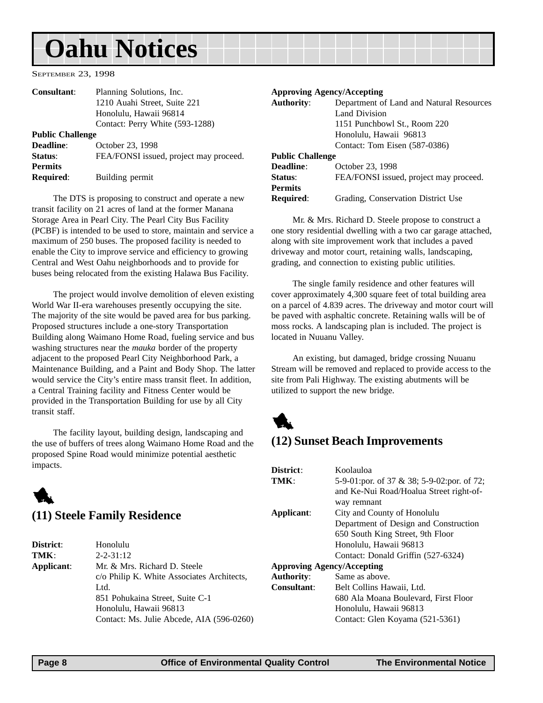<span id="page-7-0"></span>SEPTEMBER 23, 1998

| Consultant:             | Planning Solutions, Inc.               |
|-------------------------|----------------------------------------|
|                         | 1210 Auahi Street, Suite 221           |
|                         | Honolulu, Hawaii 96814                 |
|                         | Contact: Perry White (593-1288)        |
| <b>Public Challenge</b> |                                        |
| <b>Deadline:</b>        | October 23, 1998                       |
| Status:                 | FEA/FONSI issued, project may proceed. |
| <b>Permits</b>          |                                        |
| <b>Required:</b>        | Building permit                        |

The DTS is proposing to construct and operate a new transit facility on 21 acres of land at the former Manana Storage Area in Pearl City. The Pearl City Bus Facility (PCBF) is intended to be used to store, maintain and service a maximum of 250 buses. The proposed facility is needed to enable the City to improve service and efficiency to growing Central and West Oahu neighborhoods and to provide for buses being relocated from the existing Halawa Bus Facility.

The project would involve demolition of eleven existing World War II-era warehouses presently occupying the site. The majority of the site would be paved area for bus parking. Proposed structures include a one-story Transportation Building along Waimano Home Road, fueling service and bus washing structures near the *mauka* border of the property adjacent to the proposed Pearl City Neighborhood Park, a Maintenance Building, and a Paint and Body Shop. The latter would service the City's entire mass transit fleet. In addition, a Central Training facility and Fitness Center would be provided in the Transportation Building for use by all City transit staff.

The facility layout, building design, landscaping and the use of buffers of trees along Waimano Home Road and the proposed Spine Road would minimize potential aesthetic impacts.

## 1 **(11) Steele Family Residence**

| <b>District:</b> | Honolulu                                   |
|------------------|--------------------------------------------|
| TMK:             | $2 - 2 - 31 : 12$                          |
| Applicant:       | Mr. & Mrs. Richard D. Steele               |
|                  | c/o Philip K. White Associates Architects, |
|                  | Ltd.                                       |
|                  | 851 Pohukaina Street, Suite C-1            |
|                  | Honolulu, Hawaii 96813                     |
|                  | Contact: Ms. Julie Abcede, AIA (596-0260)  |
|                  |                                            |

#### **Approving Agency/Accepting**

| <b>Authority:</b>       | Department of Land and Natural Resources |
|-------------------------|------------------------------------------|
|                         | Land Division                            |
|                         | 1151 Punchbowl St., Room 220             |
|                         | Honolulu, Hawaii 96813                   |
|                         | Contact: Tom Eisen (587-0386)            |
| <b>Public Challenge</b> |                                          |
| <b>Deadline:</b>        | October 23, 1998                         |
| Status:                 | FEA/FONSI issued, project may proceed.   |
| <b>Permits</b>          |                                          |
| <b>Required:</b>        | Grading, Conservation District Use       |

Mr. & Mrs. Richard D. Steele propose to construct a one story residential dwelling with a two car garage attached, along with site improvement work that includes a paved driveway and motor court, retaining walls, landscaping, grading, and connection to existing public utilities.

The single family residence and other features will cover approximately 4,300 square feet of total building area on a parcel of 4.839 acres. The driveway and motor court will be paved with asphaltic concrete. Retaining walls will be of moss rocks. A landscaping plan is included. The project is located in Nuuanu Valley.

An existing, but damaged, bridge crossing Nuuanu Stream will be removed and replaced to provide access to the site from Pali Highway. The existing abutments will be utilized to support the new bridge.



### **(12) Sunset Beach Improvements**

| District:                         | Koolauloa                                  |
|-----------------------------------|--------------------------------------------|
| TMK:                              | 5-9-01:por. of 37 & 38; 5-9-02:por. of 72; |
|                                   | and Ke-Nui Road/Hoalua Street right-of-    |
|                                   | way remnant                                |
| Applicant:                        | City and County of Honolulu                |
|                                   | Department of Design and Construction      |
|                                   | 650 South King Street, 9th Floor           |
|                                   | Honolulu, Hawaii 96813                     |
|                                   | Contact: Donald Griffin (527-6324)         |
| <b>Approving Agency/Accepting</b> |                                            |
| <b>Authority:</b>                 | Same as above.                             |
| Consultant:                       | Belt Collins Hawaii, Ltd.                  |
|                                   | 680 Ala Moana Boulevard, First Floor       |
|                                   | Honolulu, Hawaii 96813                     |
|                                   | Contact: Glen Koyama (521-5361)            |
|                                   |                                            |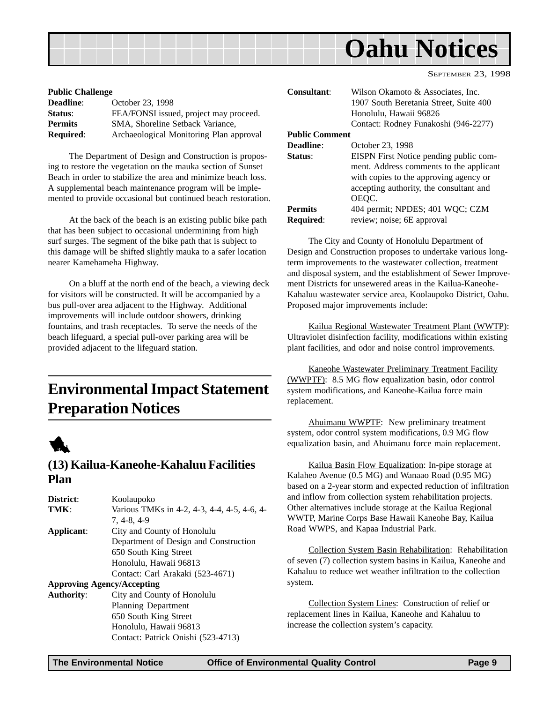<span id="page-8-0"></span>

SEPTEMBER 23, 1998

| <b>Public Challenge</b> |                                         |
|-------------------------|-----------------------------------------|
| <b>Deadline:</b>        | October 23, 1998                        |
| Status:                 | FEA/FONSI issued, project may proceed.  |
| <b>Permits</b>          | SMA, Shoreline Setback Variance,        |
| <b>Required:</b>        | Archaeological Monitoring Plan approval |

The Department of Design and Construction is proposing to restore the vegetation on the mauka section of Sunset Beach in order to stabilize the area and minimize beach loss. A supplemental beach maintenance program will be implemented to provide occasional but continued beach restoration.

At the back of the beach is an existing public bike path that has been subject to occasional undermining from high surf surges. The segment of the bike path that is subject to this damage will be shifted slightly mauka to a safer location nearer Kamehameha Highway.

On a bluff at the north end of the beach, a viewing deck for visitors will be constructed. It will be accompanied by a bus pull-over area adjacent to the Highway. Additional improvements will include outdoor showers, drinking fountains, and trash receptacles. To serve the needs of the beach lifeguard, a special pull-over parking area will be provided adjacent to the lifeguard station.

## **Environmental Impact Statement Preparation Notices**



### **(13) Kailua-Kaneohe-Kahaluu Facilities Plan**

| District:         | Koolaupoko                                  |
|-------------------|---------------------------------------------|
| TMK:              | Various TMKs in 4-2, 4-3, 4-4, 4-5, 4-6, 4- |
|                   | $7, 4-8, 4-9$                               |
| Applicant:        | City and County of Honolulu                 |
|                   | Department of Design and Construction       |
|                   | 650 South King Street                       |
|                   | Honolulu, Hawaii 96813                      |
|                   | Contact: Carl Arakaki (523-4671)            |
|                   | <b>Approving Agency/Accepting</b>           |
| <b>Authority:</b> | City and County of Honolulu                 |
|                   | Planning Department                         |
|                   | 650 South King Street                       |
|                   | Honolulu, Hawaii 96813                      |
|                   | Contact: Patrick Onishi (523-4713)          |

| <b>Consultant:</b>    | Wilson Okamoto & Associates, Inc.       |
|-----------------------|-----------------------------------------|
|                       | 1907 South Beretania Street, Suite 400  |
|                       | Honolulu, Hawaii 96826                  |
|                       | Contact: Rodney Funakoshi (946-2277)    |
| <b>Public Comment</b> |                                         |
| Deadline:             | October 23, 1998                        |
| Status:               | EISPN First Notice pending public com-  |
|                       | ment. Address comments to the applicant |
|                       | with copies to the approving agency or  |
|                       | accepting authority, the consultant and |
|                       | OEQC.                                   |
| <b>Permits</b>        | 404 permit; NPDES; 401 WQC; CZM         |
| Required:             | review; noise; 6E approval              |

The City and County of Honolulu Department of Design and Construction proposes to undertake various longterm improvements to the wastewater collection, treatment and disposal system, and the establishment of Sewer Improvement Districts for unsewered areas in the Kailua-Kaneohe-Kahaluu wastewater service area, Koolaupoko District, Oahu. Proposed major improvements include:

Kailua Regional Wastewater Treatment Plant (WWTP): Ultraviolet disinfection facility, modifications within existing plant facilities, and odor and noise control improvements.

Kaneohe Wastewater Preliminary Treatment Facility (WWPTF): 8.5 MG flow equalization basin, odor control system modifications, and Kaneohe-Kailua force main replacement.

Ahuimanu WWPTF: New preliminary treatment system, odor control system modifications, 0.9 MG flow equalization basin, and Ahuimanu force main replacement.

Kailua Basin Flow Equalization: In-pipe storage at Kalaheo Avenue (0.5 MG) and Wanaao Road (0.95 MG) based on a 2-year storm and expected reduction of infiltration and inflow from collection system rehabilitation projects. Other alternatives include storage at the Kailua Regional WWTP, Marine Corps Base Hawaii Kaneohe Bay, Kailua Road WWPS, and Kapaa Industrial Park.

Collection System Basin Rehabilitation: Rehabilitation of seven (7) collection system basins in Kailua, Kaneohe and Kahaluu to reduce wet weather infiltration to the collection system.

Collection System Lines: Construction of relief or replacement lines in Kailua, Kaneohe and Kahaluu to increase the collection system's capacity.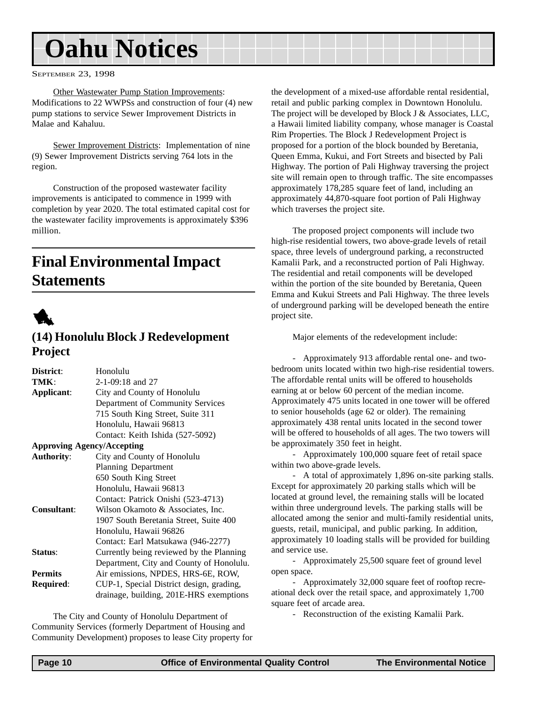<span id="page-9-0"></span>SEPTEMBER 23, 1998

Other Wastewater Pump Station Improvements: Modifications to 22 WWPSs and construction of four (4) new pump stations to service Sewer Improvement Districts in Malae and Kahaluu.

Sewer Improvement Districts: Implementation of nine (9) Sewer Improvement Districts serving 764 lots in the region.

Construction of the proposed wastewater facility improvements is anticipated to commence in 1999 with completion by year 2020. The total estimated capital cost for the wastewater facility improvements is approximately \$396 million.

## **Final Environmental Impact Statements**



## **(14) Honolulu Block J Redevelopment Project**

| District:         | Honolulu                                 |
|-------------------|------------------------------------------|
| TMK:              | $2-1-09:18$ and 27                       |
| Applicant:        | City and County of Honolulu              |
|                   | Department of Community Services         |
|                   | 715 South King Street, Suite 311         |
|                   | Honolulu, Hawaii 96813                   |
|                   | Contact: Keith Ishida (527-5092)         |
|                   | <b>Approving Agency/Accepting</b>        |
| <b>Authority:</b> | City and County of Honolulu              |
|                   | <b>Planning Department</b>               |
|                   | 650 South King Street                    |
|                   | Honolulu, Hawaii 96813                   |
|                   | Contact: Patrick Onishi (523-4713)       |
| Consultant:       | Wilson Okamoto & Associates, Inc.        |
|                   | 1907 South Beretania Street, Suite 400   |
|                   | Honolulu, Hawaii 96826                   |
|                   | Contact: Earl Matsukawa (946-2277)       |
| Status:           | Currently being reviewed by the Planning |
|                   | Department, City and County of Honolulu. |
| <b>Permits</b>    | Air emissions, NPDES, HRS-6E, ROW,       |
| Required:         | CUP-1, Special District design, grading, |
|                   | drainage, building, 201E-HRS exemptions  |

The City and County of Honolulu Department of Community Services (formerly Department of Housing and Community Development) proposes to lease City property for the development of a mixed-use affordable rental residential, retail and public parking complex in Downtown Honolulu. The project will be developed by Block J & Associates, LLC, a Hawaii limited liability company, whose manager is Coastal Rim Properties. The Block J Redevelopment Project is proposed for a portion of the block bounded by Beretania, Queen Emma, Kukui, and Fort Streets and bisected by Pali Highway. The portion of Pali Highway traversing the project site will remain open to through traffic. The site encompasses approximately 178,285 square feet of land, including an approximately 44,870-square foot portion of Pali Highway which traverses the project site.

The proposed project components will include two high-rise residential towers, two above-grade levels of retail space, three levels of underground parking, a reconstructed Kamalii Park, and a reconstructed portion of Pali Highway. The residential and retail components will be developed within the portion of the site bounded by Beretania, Queen Emma and Kukui Streets and Pali Highway. The three levels of underground parking will be developed beneath the entire project site.

Major elements of the redevelopment include:

- Approximately 913 affordable rental one- and twobedroom units located within two high-rise residential towers. The affordable rental units will be offered to households earning at or below 60 percent of the median income. Approximately 475 units located in one tower will be offered to senior households (age 62 or older). The remaining approximately 438 rental units located in the second tower will be offered to households of all ages. The two towers will be approximately 350 feet in height.

- Approximately 100,000 square feet of retail space within two above-grade levels.

- A total of approximately 1,896 on-site parking stalls. Except for approximately 20 parking stalls which will be located at ground level, the remaining stalls will be located within three underground levels. The parking stalls will be allocated among the senior and multi-family residential units, guests, retail, municipal, and public parking. In addition, approximately 10 loading stalls will be provided for building and service use.

- Approximately 25,500 square feet of ground level open space.

- Approximately 32,000 square feet of rooftop recreational deck over the retail space, and approximately 1,700 square feet of arcade area.

- Reconstruction of the existing Kamalii Park.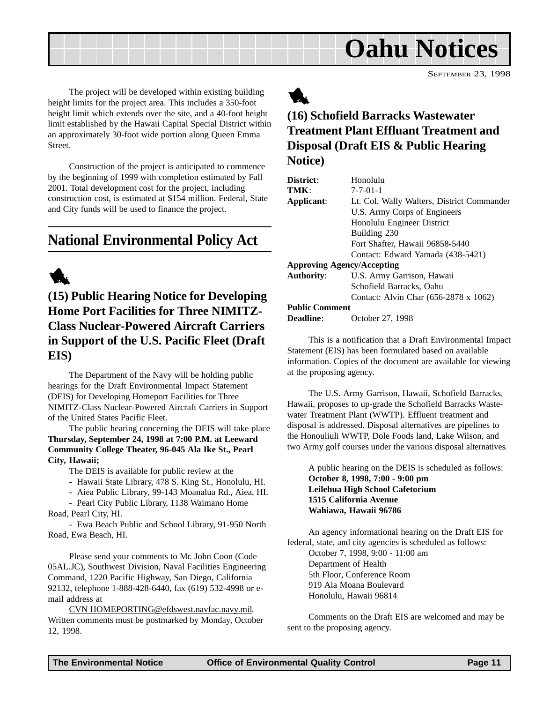SEPTEMBER 23, 1998

<span id="page-10-0"></span>The project will be developed within existing building height limits for the project area. This includes a 350-foot height limit which extends over the site, and a 40-foot height limit established by the Hawaii Capital Special District within an approximately 30-foot wide portion along Queen Emma Street.

Construction of the project is anticipated to commence by the beginning of 1999 with completion estimated by Fall 2001. Total development cost for the project, including construction cost, is estimated at \$154 million. Federal, State and City funds will be used to finance the project.

## **National Environmental Policy Act**

## 1

**(15) Public Hearing Notice for Developing Home Port Facilities for Three NIMITZ-Class Nuclear-Powered Aircraft Carriers in Support of the U.S. Pacific Fleet (Draft EIS)**

The Department of the Navy will be holding public hearings for the Draft Environmental Impact Statement (DEIS) for Developing Homeport Facilities for Three NIMITZ-Class Nuclear-Powered Aircraft Carriers in Support of the United States Pacific Fleet.

The public hearing concerning the DEIS will take place **Thursday, September 24, 1998 at 7:00 P.M. at Leeward Community College Theater, 96-045 Ala Ike St., Pearl City, Hawaii;**

The DEIS is available for public review at the

- Hawaii State Library, 478 S. King St., Honolulu, HI.
- Aiea Public Library, 99-143 Moanalua Rd., Aiea, HI.

- Pearl City Public Library, 1138 Waimano Home Road, Pearl City, HI.

- Ewa Beach Public and School Library, 91-950 North Road, Ewa Beach, HI.

Please send your comments to Mr. John Coon (Code 05AL.JC), Southwest Division, Naval Facilities Engineering Command, 1220 Pacific Highway, San Diego, California 92132, telephone 1-888-428-6440, fax (619) 532-4998 or email address at

CVN HOMEPORTING@efdswest.navfac.navy.mil. Written comments must be postmarked by Monday, October 12, 1998.



## **(16) Schofield Barracks Wastewater Treatment Plant Effluant Treatment and Disposal (Draft EIS & Public Hearing Notice)**

| District:                         | Honolulu                                   |
|-----------------------------------|--------------------------------------------|
| TMK:                              | $7 - 7 - 01 - 1$                           |
| Applicant:                        | Lt. Col. Wally Walters, District Commander |
|                                   | U.S. Army Corps of Engineers               |
|                                   | Honolulu Engineer District                 |
|                                   | Building 230                               |
|                                   | Fort Shafter, Hawaii 96858-5440            |
|                                   | Contact: Edward Yamada (438-5421)          |
| <b>Approving Agency/Accepting</b> |                                            |
| <b>Authority:</b>                 | U.S. Army Garrison, Hawaii                 |
|                                   | Schofield Barracks, Oahu                   |
|                                   | Contact: Alvin Char (656-2878 x 1062)      |
| <b>Public Comment</b>             |                                            |
| Deadline:                         | October 27, 1998                           |
|                                   |                                            |

This is a notification that a Draft Environmental Impact Statement (EIS) has been formulated based on available information. Copies of the document are available for viewing at the proposing agency.

The U.S. Army Garrison, Hawaii, Schofield Barracks, Hawaii, proposes to up-grade the Schofield Barracks Wastewater Treatment Plant (WWTP). Effluent treatment and disposal is addressed. Disposal alternatives are pipelines to the Honouliuli WWTP, Dole Foods land, Lake Wilson, and two Army golf courses under the various disposal alternatives.

A public hearing on the DEIS is scheduled as follows: **October 8, 1998, 7:00 - 9:00 pm Leilehua High School Cafetorium 1515 California Avenue Wahiawa, Hawaii 96786**

An agency informational hearing on the Draft EIS for federal, state, and city agencies is scheduled as follows:

October 7, 1998, 9:00 - 11:00 am Department of Health 5th Floor, Conference Room 919 Ala Moana Boulevard Honolulu, Hawaii 96814

Comments on the Draft EIS are welcomed and may be sent to the proposing agency.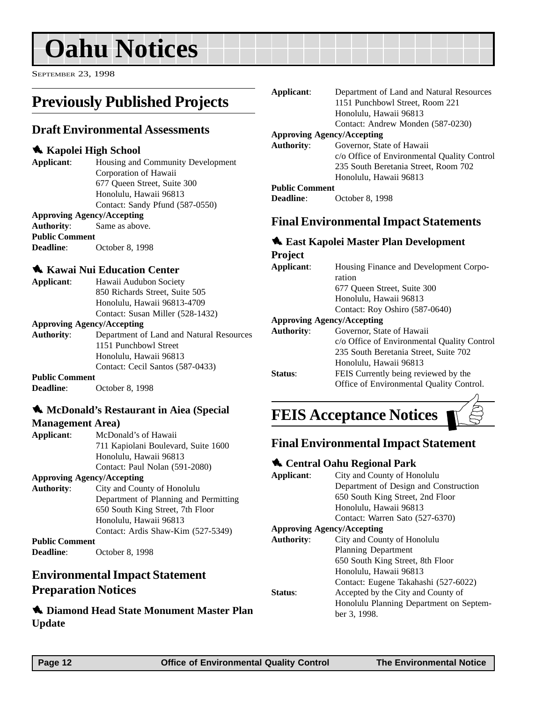<span id="page-11-0"></span>SEPTEMBER 23, 1998

## **Previously Published Projects**

### **Draft Environmental Assessments**

#### 1 **Kapolei High School**

**Applicant**: Housing and Community Development Corporation of Hawaii 677 Queen Street, Suite 300 Honolulu, Hawaii 96813 Contact: Sandy Pfund (587-0550)

#### **Approving Agency/Accepting**

**Authority**: Same as above.

**Public Comment Deadline**: October 8, 1998

| <b>Kawai Nui Education Center</b> |                                  |
|-----------------------------------|----------------------------------|
| Applicant:                        | Hawaii Audubon Society           |
|                                   | 850 Richards Street, Suite 505   |
|                                   | Honolulu, Hawaii 96813-4709      |
|                                   | Contact: Susan Miller (528-1432) |

#### **Approving Agency/Accepting**

**Authority**: Department of Land and Natural Resources 1151 Punchbowl Street Honolulu, Hawaii 96813 Contact: Cecil Santos (587-0433)

#### **Public Comment**

**Deadline**: October 8, 1998

#### **1. McDonald's Restaurant in Aiea (Special)**

#### **Management Area)**

| Applicant: | McDonald's of Hawaii                |
|------------|-------------------------------------|
|            | 711 Kapiolani Boulevard, Suite 1600 |
|            | Honolulu, Hawaii 96813              |
|            | Contact: Paul Nolan (591-2080)      |

#### **Approving Agency/Accepting**

**Authority**: City and County of Honolulu Department of Planning and Permitting 650 South King Street, 7th Floor Honolulu, Hawaii 96813 Contact: Ardis Shaw-Kim (527-5349) **Public Comment Deadline**: October 8, 1998

**Environmental Impact Statement**

#### **Preparation Notices**

1 **Diamond Head State Monument Master Plan Update**

| Applicant:            | Department of Land and Natural Resources    |
|-----------------------|---------------------------------------------|
|                       | 1151 Punchbowl Street, Room 221             |
|                       | Honolulu, Hawaii 96813                      |
|                       | Contact: Andrew Monden (587-0230)           |
|                       | <b>Approving Agency/Accepting</b>           |
| Authority:            | Governor, State of Hawaii                   |
|                       | c/o Office of Environmental Quality Control |
|                       | 235 South Beretania Street, Room 702        |
|                       | Honolulu, Hawaii 96813                      |
| <b>Public Comment</b> |                                             |
| <b>Deadline:</b>      | October 8, 1998                             |
|                       |                                             |

### **Final Environmental Impact Statements**

#### 1 **East Kapolei Master Plan Development Project**

| $\sim$ $\sim$ $\sim$ $\sim$ |                                             |
|-----------------------------|---------------------------------------------|
| Applicant:                  | Housing Finance and Development Corpo-      |
|                             | ration                                      |
|                             | 677 Oueen Street, Suite 300                 |
|                             | Honolulu, Hawaii 96813                      |
|                             | Contact: Roy Oshiro (587-0640)              |
|                             | <b>Approving Agency/Accepting</b>           |
| <b>Authority:</b>           | Governor, State of Hawaii                   |
|                             | c/o Office of Environmental Quality Control |
|                             | 235 South Beretania Street, Suite 702       |
|                             | Honolulu, Hawaii 96813                      |
| <b>Status:</b>              | FEIS Currently being reviewed by the        |
|                             | Office of Environmental Quality Control.    |
|                             |                                             |

## **FEIS Acceptance Notices**

### **Final Environmental Impact Statement**

#### 1 **Central Oahu Regional Park**

| Applicant:                        | City and County of Honolulu             |
|-----------------------------------|-----------------------------------------|
|                                   | Department of Design and Construction   |
|                                   | 650 South King Street, 2nd Floor        |
|                                   | Honolulu, Hawaii 96813                  |
|                                   | Contact: Warren Sato (527-6370)         |
| <b>Approving Agency/Accepting</b> |                                         |
| Authority:                        | City and County of Honolulu             |
|                                   | <b>Planning Department</b>              |
|                                   | 650 South King Street, 8th Floor        |
|                                   | Honolulu, Hawaii 96813                  |
|                                   | Contact: Eugene Takahashi (527-6022)    |
| Status:                           | Accepted by the City and County of      |
|                                   | Honolulu Planning Department on Septem- |
|                                   | ber 3, 1998.                            |
|                                   |                                         |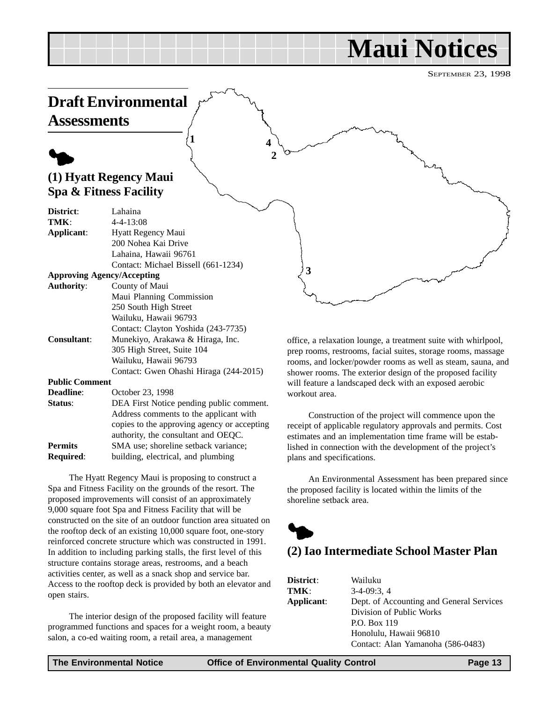## **Maui Notices**

SEPTEMBER 23, 1998

<span id="page-12-0"></span>

**Public Comment**

| <b>Deadline:</b> | October 23, 1998                            |
|------------------|---------------------------------------------|
| Status:          | DEA First Notice pending public comment.    |
|                  | Address comments to the applicant with      |
|                  | copies to the approving agency or accepting |
|                  | authority, the consultant and OEQC.         |
| <b>Permits</b>   | SMA use; shoreline setback variance;        |
| <b>Required:</b> | building, electrical, and plumbing          |

The Hyatt Regency Maui is proposing to construct a Spa and Fitness Facility on the grounds of the resort. The proposed improvements will consist of an approximately 9,000 square foot Spa and Fitness Facility that will be constructed on the site of an outdoor function area situated on the rooftop deck of an existing 10,000 square foot, one-story reinforced concrete structure which was constructed in 1991. In addition to including parking stalls, the first level of this structure contains storage areas, restrooms, and a beach activities center, as well as a snack shop and service bar. Access to the rooftop deck is provided by both an elevator and open stairs.

The interior design of the proposed facility will feature programmed functions and spaces for a weight room, a beauty salon, a co-ed waiting room, a retail area, a management

shower rooms. The exterior design of the proposed facility will feature a landscaped deck with an exposed aerobic workout area.

Construction of the project will commence upon the receipt of applicable regulatory approvals and permits. Cost estimates and an implementation time frame will be established in connection with the development of the project's plans and specifications.

An Environmental Assessment has been prepared since the proposed facility is located within the limits of the shoreline setback area.



## **(2) Iao Intermediate School Master Plan**

| District:  | Wailuku                                  |
|------------|------------------------------------------|
| TMK:       | $3-4-09:3.4$                             |
| Applicant: | Dept. of Accounting and General Services |
|            | Division of Public Works                 |
|            | P.O. Box 119                             |
|            | Honolulu, Hawaii 96810                   |
|            | Contact: Alan Yamanoha (586-0483)        |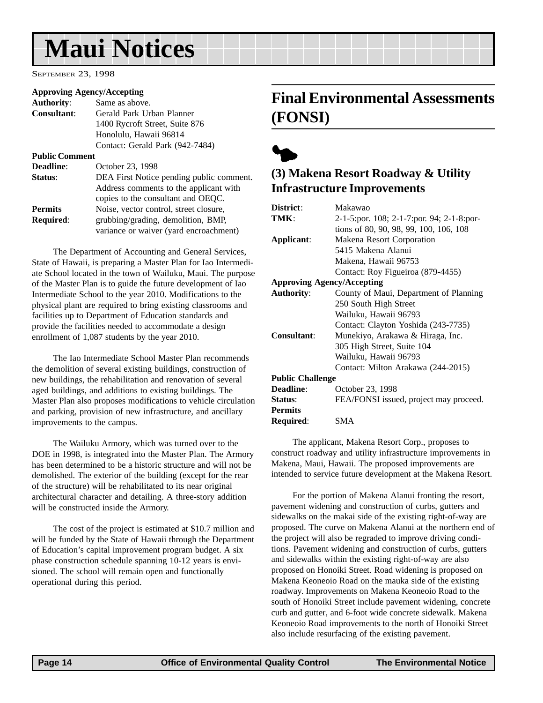## <span id="page-13-0"></span>**Maui Notices**

SEPTEMBER 23, 1998

#### **Approving Agency/Accepting**

| <b>Authority:</b>     | Same as above.                           |
|-----------------------|------------------------------------------|
| Consultant:           | Gerald Park Urban Planner                |
|                       | 1400 Rycroft Street, Suite 876           |
|                       | Honolulu, Hawaii 96814                   |
|                       | Contact: Gerald Park (942-7484)          |
| <b>Public Comment</b> |                                          |
| Deadline:             | October 23, 1998                         |
| Status:               | DEA First Notice pending public comment. |
|                       | Address comments to the applicant with   |
|                       | copies to the consultant and OEQC.       |
| <b>Permits</b>        | Noise, vector control, street closure,   |
| <b>Required:</b>      | grubbing/grading, demolition, BMP,       |
|                       | variance or waiver (yard encroachment)   |
|                       |                                          |

The Department of Accounting and General Services, State of Hawaii, is preparing a Master Plan for Iao Intermediate School located in the town of Wailuku, Maui. The purpose of the Master Plan is to guide the future development of Iao Intermediate School to the year 2010. Modifications to the physical plant are required to bring existing classrooms and facilities up to Department of Education standards and provide the facilities needed to accommodate a design enrollment of 1,087 students by the year 2010.

The Iao Intermediate School Master Plan recommends the demolition of several existing buildings, construction of new buildings, the rehabilitation and renovation of several aged buildings, and additions to existing buildings. The Master Plan also proposes modifications to vehicle circulation and parking, provision of new infrastructure, and ancillary improvements to the campus.

The Wailuku Armory, which was turned over to the DOE in 1998, is integrated into the Master Plan. The Armory has been determined to be a historic structure and will not be demolished. The exterior of the building (except for the rear of the structure) will be rehabilitated to its near original architectural character and detailing. A three-story addition will be constructed inside the Armory.

The cost of the project is estimated at \$10.7 million and will be funded by the State of Hawaii through the Department of Education's capital improvement program budget. A six phase construction schedule spanning 10-12 years is envisioned. The school will remain open and functionally operational during this period.

## **Final Environmental Assessments (FONSI)**



## **(3) Makena Resort Roadway & Utility Infrastructure Improvements**

| District:                                       | Makawao                                   |  |  |  |
|-------------------------------------------------|-------------------------------------------|--|--|--|
| TMK:                                            | 2-1-5:por. 108; 2-1-7:por. 94; 2-1-8:por- |  |  |  |
|                                                 | tions of 80, 90, 98, 99, 100, 106, 108    |  |  |  |
| Applicant:                                      | Makena Resort Corporation                 |  |  |  |
|                                                 | 5415 Makena Alanui                        |  |  |  |
|                                                 | Makena, Hawaii 96753                      |  |  |  |
|                                                 | Contact: Roy Figueiroa (879-4455)         |  |  |  |
| <b>Approving Agency/Accepting</b>               |                                           |  |  |  |
| <b>Authority:</b>                               | County of Maui, Department of Planning    |  |  |  |
|                                                 | 250 South High Street                     |  |  |  |
|                                                 | Wailuku, Hawaii 96793                     |  |  |  |
|                                                 | Contact: Clayton Yoshida (243-7735)       |  |  |  |
| Consultant:<br>Munekiyo, Arakawa & Hiraga, Inc. |                                           |  |  |  |
|                                                 | 305 High Street, Suite 104                |  |  |  |
|                                                 | Wailuku, Hawaii 96793                     |  |  |  |
|                                                 | Contact: Milton Arakawa (244-2015)        |  |  |  |
| <b>Public Challenge</b>                         |                                           |  |  |  |
| Deadline:                                       | October 23, 1998                          |  |  |  |
| Status:                                         | FEA/FONSI issued, project may proceed.    |  |  |  |
| <b>Permits</b>                                  |                                           |  |  |  |
| <b>Required:</b>                                | SMA                                       |  |  |  |

The applicant, Makena Resort Corp., proposes to construct roadway and utility infrastructure improvements in Makena, Maui, Hawaii. The proposed improvements are intended to service future development at the Makena Resort.

For the portion of Makena Alanui fronting the resort, pavement widening and construction of curbs, gutters and sidewalks on the makai side of the existing right-of-way are proposed. The curve on Makena Alanui at the northern end of the project will also be regraded to improve driving conditions. Pavement widening and construction of curbs, gutters and sidewalks within the existing right-of-way are also proposed on Honoiki Street. Road widening is proposed on Makena Keoneoio Road on the mauka side of the existing roadway. Improvements on Makena Keoneoio Road to the south of Honoiki Street include pavement widening, concrete curb and gutter, and 6-foot wide concrete sidewalk. Makena Keoneoio Road improvements to the north of Honoiki Street also include resurfacing of the existing pavement.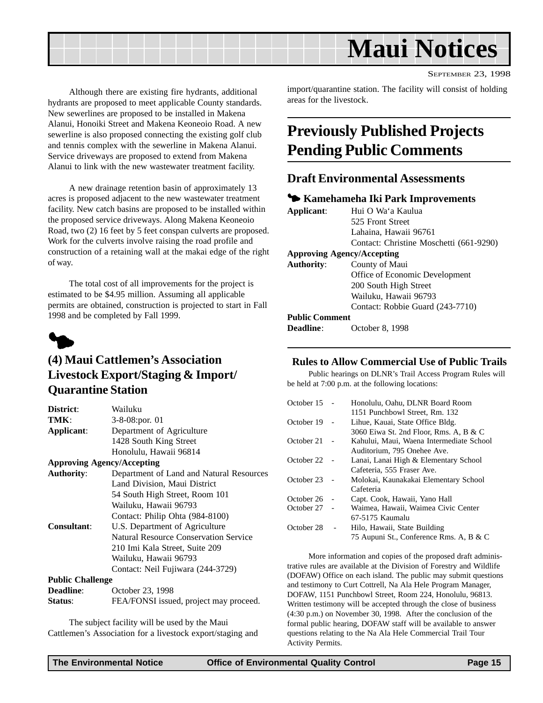<span id="page-14-0"></span>

SEPTEMBER 23, 1998

Although there are existing fire hydrants, additional hydrants are proposed to meet applicable County standards. New sewerlines are proposed to be installed in Makena Alanui, Honoiki Street and Makena Keoneoio Road. A new sewerline is also proposed connecting the existing golf club and tennis complex with the sewerline in Makena Alanui. Service driveways are proposed to extend from Makena Alanui to link with the new wastewater treatment facility.

A new drainage retention basin of approximately 13 acres is proposed adjacent to the new wastewater treatment facility. New catch basins are proposed to be installed within the proposed service driveways. Along Makena Keoneoio Road, two (2) 16 feet by 5 feet conspan culverts are proposed. Work for the culverts involve raising the road profile and construction of a retaining wall at the makai edge of the right of way.

The total cost of all improvements for the project is estimated to be \$4.95 million. Assuming all applicable permits are obtained, construction is projected to start in Fall 1998 and be completed by Fall 1999.



## **(4) Maui Cattlemen's Association Livestock Export/Staging & Import/ Quarantine Station**

| District:               | Wailuku                                      |  |  |
|-------------------------|----------------------------------------------|--|--|
| TMK:                    | 3-8-08:por. 01                               |  |  |
| Applicant:              | Department of Agriculture                    |  |  |
|                         | 1428 South King Street                       |  |  |
|                         | Honolulu, Hawaii 96814                       |  |  |
|                         | <b>Approving Agency/Accepting</b>            |  |  |
| <b>Authority:</b>       | Department of Land and Natural Resources     |  |  |
|                         | Land Division, Maui District                 |  |  |
|                         | 54 South High Street, Room 101               |  |  |
|                         | Wailuku, Hawaii 96793                        |  |  |
|                         | Contact: Philip Ohta (984-8100)              |  |  |
| <b>Consultant:</b>      | U.S. Department of Agriculture               |  |  |
|                         | <b>Natural Resource Conservation Service</b> |  |  |
|                         | 210 Imi Kala Street, Suite 209               |  |  |
|                         | Wailuku, Hawaii 96793                        |  |  |
|                         | Contact: Neil Fujiwara (244-3729)            |  |  |
| <b>Public Challenge</b> |                                              |  |  |
| <b>Deadline:</b>        | October 23, 1998                             |  |  |
| Status:                 | FEA/FONSI issued, project may proceed.       |  |  |

The subject facility will be used by the Maui Cattlemen's Association for a livestock export/staging and import/quarantine station. The facility will consist of holding areas for the livestock.

## **Previously Published Projects Pending Public Comments**

#### **Draft Environmental Assessments**

#### 3 **Kamehameha Iki Park Improvements**

| Hui O Wa'a Kaulua                       |  |  |  |
|-----------------------------------------|--|--|--|
| 525 Front Street                        |  |  |  |
| Lahaina, Hawaii 96761                   |  |  |  |
| Contact: Christine Moschetti (661-9290) |  |  |  |
| <b>Approving Agency/Accepting</b>       |  |  |  |
| County of Maui                          |  |  |  |
| Office of Economic Development          |  |  |  |
| 200 South High Street                   |  |  |  |
| Wailuku, Hawaii 96793                   |  |  |  |
| Contact: Robbie Guard (243-7710)        |  |  |  |
| <b>Public Comment</b>                   |  |  |  |
|                                         |  |  |  |

**Deadline**: October 8, 1998

#### **Rules to Allow Commercial Use of Public Trails**

Public hearings on DLNR's Trail Access Program Rules will be held at 7:00 p.m. at the following locations:

| October 15 | Honolulu, Oahu, DLNR Board Room<br>1151 Punchbowl Street, Rm. 132 |
|------------|-------------------------------------------------------------------|
| October 19 | Lihue, Kauai, State Office Bldg.                                  |
|            | 3060 Eiwa St. 2nd Floor, Rms. A, B & C                            |
| October 21 | Kahului, Maui, Waena Intermediate School                          |
|            | Auditorium. 795 Onehee Ave.                                       |
| October 22 | Lanai, Lanai High & Elementary School                             |
|            | Cafeteria, 555 Fraser Ave.                                        |
| October 23 | Molokai, Kaunakakai Elementary School                             |
|            | Cafeteria                                                         |
| October 26 | Capt. Cook, Hawaii, Yano Hall                                     |
| October 27 | Waimea, Hawaii, Waimea Civic Center                               |
|            | 67-5175 Kaumalu                                                   |
| October 28 | Hilo, Hawaii, State Building                                      |
|            | 75 Aupuni St., Conference Rms. A, B & C                           |
|            |                                                                   |

More information and copies of the proposed draft administrative rules are available at the Division of Forestry and Wildlife (DOFAW) Office on each island. The public may submit questions and testimony to Curt Cottrell, Na Ala Hele Program Manager, DOFAW, 1151 Punchbowl Street, Room 224, Honolulu, 96813. Written testimony will be accepted through the close of business (4:30 p.m.) on November 30, 1998. After the conclusion of the formal public hearing, DOFAW staff will be available to answer questions relating to the Na Ala Hele Commercial Trail Tour Activity Permits.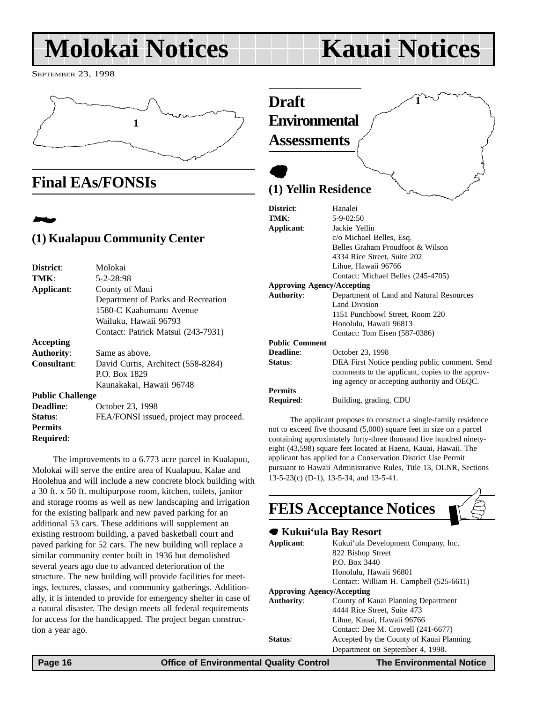## <span id="page-15-0"></span>**Molokai Notices Kauai Notices**

SEPTEMBER 23, 1998



## **Final EAs/FONSIs**

## 2 **(1) Kualapuu Community Center**

| District:               | Molokai                                |  |
|-------------------------|----------------------------------------|--|
| TMK:                    | 5-2-28:98                              |  |
| Applicant:              | County of Maui                         |  |
|                         | Department of Parks and Recreation     |  |
|                         | 1580-C Kaahumanu Avenue                |  |
|                         | Wailuku, Hawaii 96793                  |  |
|                         | Contact: Patrick Matsui (243-7931)     |  |
| Accepting               |                                        |  |
| <b>Authority:</b>       | Same as above.                         |  |
| Consultant:             | David Curtis, Architect (558-8284)     |  |
|                         | P.O. Box 1829                          |  |
|                         | Kaunakakai, Hawaii 96748               |  |
| <b>Public Challenge</b> |                                        |  |
| Deadline:               | October 23, 1998                       |  |
| <b>Status:</b>          | FEA/FONSI issued, project may proceed. |  |
| <b>Permits</b>          |                                        |  |
| <b>Required:</b>        |                                        |  |
|                         |                                        |  |

The improvements to a 6.773 acre parcel in Kualapuu, Molokai will serve the entire area of Kualapuu, Kalae and Hoolehua and will include a new concrete block building with a 30 ft. x 50 ft. multipurpose room, kitchen, toilets, janitor and storage rooms as well as new landscaping and irrigation for the existing ballpark and new paved parking for an additional 53 cars. These additions will supplement an existing restroom building, a paved basketball court and paved parking for 52 cars. The new building will replace a similar community center built in 1936 but demolished several years ago due to advanced deterioration of the structure. The new building will provide facilities for meetings, lectures, classes, and community gatherings. Additionally, it is intended to provide for emergency shelter in case of a natural disaster. The design meets all federal requirements for access for the handicapped. The project began construction a year ago.

## **Draft Environmental Assessments**

## $\bullet$ **(1) Yellin Residence**

|                   | District:             | Hanalei                                          |  |  |
|-------------------|-----------------------|--------------------------------------------------|--|--|
|                   | TMK:                  | $5 - 9 - 02:50$                                  |  |  |
|                   | Applicant:            | Jackie Yellin                                    |  |  |
|                   |                       | c/o Michael Belles, Esq.                         |  |  |
|                   |                       | Belles Graham Proudfoot & Wilson                 |  |  |
|                   |                       | 4334 Rice Street, Suite 202                      |  |  |
|                   |                       | Lihue, Hawaii 96766                              |  |  |
|                   |                       | Contact: Michael Belles (245-4705)               |  |  |
|                   |                       | <b>Approving Agency/Accepting</b>                |  |  |
| <b>Authority:</b> |                       | Department of Land and Natural Resources         |  |  |
|                   |                       | Land Division                                    |  |  |
|                   |                       | 1151 Punchbowl Street, Room 220                  |  |  |
|                   |                       | Honolulu, Hawaii 96813                           |  |  |
|                   |                       | Contact: Tom Eisen (587-0386)                    |  |  |
|                   | <b>Public Comment</b> |                                                  |  |  |
|                   | Deadline:             | October 23, 1998                                 |  |  |
|                   | Status:               | DEA First Notice pending public comment. Send    |  |  |
|                   |                       | comments to the applicant, copies to the approv- |  |  |
|                   |                       | ing agency or accepting authority and OEQC.      |  |  |
|                   | <b>Permits</b>        |                                                  |  |  |
|                   | Required:             | Building, grading, CDU                           |  |  |
|                   |                       |                                                  |  |  |

**1**

The applicant proposes to construct a single-family residence not to exceed five thousand (5,000) square feet in size on a parcel containing approximately forty-three thousand five hundred ninetyeight (43,598) square feet located at Haena, Kauai, Hawaii. The applicant has applied for a Conservation District Use Permit pursuant to Hawaii Administrative Rules, Title 13, DLNR, Sections 13-5-23(c) (D-1), 13-5-34, and 13-5-41.

|                   | <b>FEIS Acceptance Notices</b>           |
|-------------------|------------------------------------------|
|                   | ● Kukui'ula Bay Resort                   |
| Applicant:        | Kukui'ula Development Company, Inc.      |
|                   | 822 Bishop Street                        |
|                   | P.O. Box 3440                            |
|                   | Honolulu, Hawaii 96801                   |
|                   | Contact: William H. Campbell (525-6611)  |
|                   | <b>Approving Agency/Accepting</b>        |
| <b>Authority:</b> | County of Kauai Planning Department      |
|                   | 4444 Rice Street, Suite 473              |
|                   | Lihue, Kauai, Hawaii 96766               |
|                   | Contact: Dee M. Crowell (241-6677)       |
| Status:           | Accepted by the County of Kauai Planning |
|                   | Department on September 4, 1998.         |

 **Page 16 Control Control Control Control Control Control Control Control Control Control Page 16 Control Page 16 Control Control Control Control Control Control Control Control Control Control Control Control Control Cont**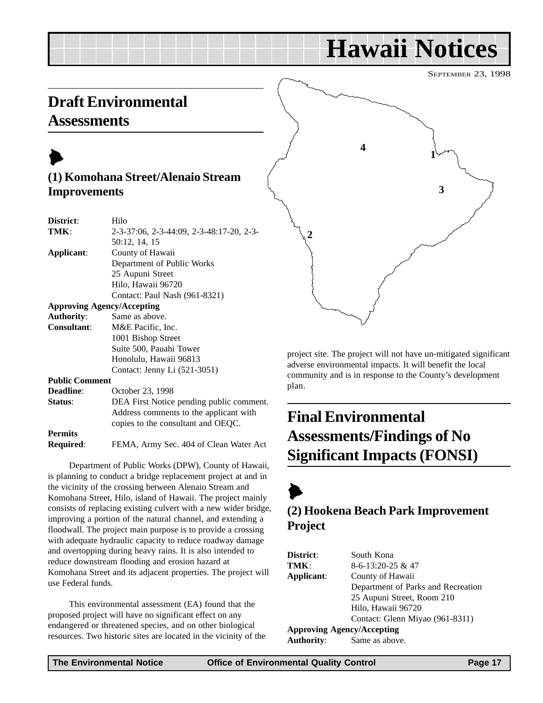## **Hawaii Notices**

SEPTEMBER 23, 1998

## <span id="page-16-0"></span>**Draft Environmental Assessments**

## $\blacktriangleright$

## **(1) Komohana Street/Alenaio Stream Improvements**

| District:             | Hilo                                     |  |  |  |
|-----------------------|------------------------------------------|--|--|--|
| TMK:                  | 2-3-37:06, 2-3-44:09, 2-3-48:17-20, 2-3- |  |  |  |
|                       | 50:12, 14, 15                            |  |  |  |
| Applicant:            | County of Hawaii                         |  |  |  |
|                       | Department of Public Works               |  |  |  |
|                       | 25 Aupuni Street                         |  |  |  |
|                       | Hilo, Hawaii 96720                       |  |  |  |
|                       | Contact: Paul Nash (961-8321)            |  |  |  |
|                       | <b>Approving Agency/Accepting</b>        |  |  |  |
| <b>Authority:</b>     | Same as above.                           |  |  |  |
| <b>Consultant:</b>    | M&E Pacific, Inc.                        |  |  |  |
| 1001 Bishop Street    |                                          |  |  |  |
|                       | Suite 500, Pauahi Tower                  |  |  |  |
|                       | Honolulu, Hawaii 96813                   |  |  |  |
|                       | Contact: Jenny Li (521-3051)             |  |  |  |
| <b>Public Comment</b> |                                          |  |  |  |
| Deadline:             | October 23, 1998                         |  |  |  |
| Status:               | DEA First Notice pending public comment. |  |  |  |
|                       | Address comments to the applicant with   |  |  |  |
|                       | copies to the consultant and OEQC.       |  |  |  |
| <b>Permits</b>        |                                          |  |  |  |

**Required**: FEMA, Army Sec. 404 of Clean Water Act

Department of Public Works (DPW), County of Hawaii, is planning to conduct a bridge replacement project at and in the vicinity of the crossing between Alenaio Stream and Komohana Street, Hilo, island of Hawaii. The project mainly consists of replacing existing culvert with a new wider bridge, improving a portion of the natural channel, and extending a floodwall. The project main purpose is to provide a crossing with adequate hydraulic capacity to reduce roadway damage and overtopping during heavy rains. It is also intended to reduce downstream flooding and erosion hazard at Komohana Street and its adjacent properties. The project will use Federal funds.

This environmental assessment (EA) found that the proposed project will have no significant effect on any endangered or threatened species, and on other biological resources. Two historic sites are located in the vicinity of the



project site. The project will not have un-mitigated significant adverse environmental impacts. It will benefit the local community and is in response to the County's development plan.

## **Final Environmental Assessments/Findings of No Significant Impacts (FONSI)**

 $\blacktriangleright$ **(2) Hookena Beach Park Improvement Project**

| <b>District</b> : | South Kona                         |
|-------------------|------------------------------------|
| TMK:              | $8-6-13:20-25$ & 47                |
| Applicant:        | County of Hawaii                   |
|                   | Department of Parks and Recreation |
|                   | 25 Aupuni Street, Room 210         |
|                   | Hilo, Hawaii 96720                 |
|                   | Contact: Glenn Miyao (961-8311)    |
|                   | Approving Agency/Accepting         |
| Authority:        | Same as above.                     |
|                   |                                    |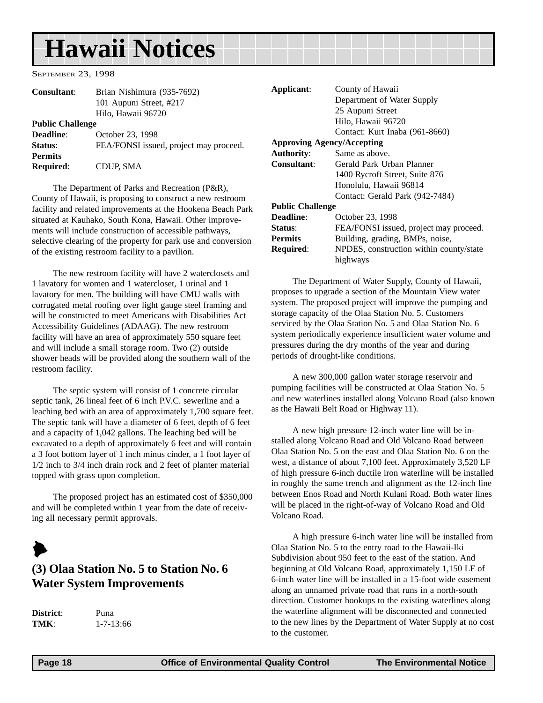## <span id="page-17-0"></span>**Hawaii Notices**

SEPTEMBER 23, 1998

| <b>Consultant:</b>      | Brian Nishimura (935-7692)             |
|-------------------------|----------------------------------------|
|                         | 101 Aupuni Street, #217                |
|                         | Hilo, Hawaii 96720                     |
| <b>Public Challenge</b> |                                        |
| <b>Deadline:</b>        | October 23, 1998                       |
| Status:                 | FEA/FONSI issued, project may proceed. |
| <b>Permits</b>          |                                        |
| <b>Required:</b>        | CDUP, SMA                              |
|                         |                                        |

The Department of Parks and Recreation (P&R), County of Hawaii, is proposing to construct a new restroom facility and related improvements at the Hookena Beach Park situated at Kauhako, South Kona, Hawaii. Other improvements will include construction of accessible pathways, selective clearing of the property for park use and conversion of the existing restroom facility to a pavilion.

The new restroom facility will have 2 waterclosets and 1 lavatory for women and 1 watercloset, 1 urinal and 1 lavatory for men. The building will have CMU walls with corrugated metal roofing over light gauge steel framing and will be constructed to meet Americans with Disabilities Act Accessibility Guidelines (ADAAG). The new restroom facility will have an area of approximately 550 square feet and will include a small storage room. Two (2) outside shower heads will be provided along the southern wall of the restroom facility.

The septic system will consist of 1 concrete circular septic tank, 26 lineal feet of 6 inch P.V.C. sewerline and a leaching bed with an area of approximately 1,700 square feet. The septic tank will have a diameter of 6 feet, depth of 6 feet and a capacity of 1,042 gallons. The leaching bed will be excavated to a depth of approximately 6 feet and will contain a 3 foot bottom layer of 1 inch minus cinder, a 1 foot layer of 1/2 inch to 3/4 inch drain rock and 2 feet of planter material topped with grass upon completion.

The proposed project has an estimated cost of \$350,000 and will be completed within 1 year from the date of receiving all necessary permit approvals.

## $\blacktriangleright$ **(3) Olaa Station No. 5 to Station No. 6 Water System Improvements**

**District**: Puna **TMK**: 1-7-13:66

| Applicant:              | County of Hawaii                        |
|-------------------------|-----------------------------------------|
|                         | Department of Water Supply              |
|                         | 25 Aupuni Street                        |
|                         | Hilo, Hawaii 96720                      |
|                         | Contact: Kurt Inaba (961-8660)          |
|                         | <b>Approving Agency/Accepting</b>       |
| <b>Authority:</b>       | Same as above.                          |
| Consultant:             | Gerald Park Urban Planner               |
|                         | 1400 Rycroft Street, Suite 876          |
|                         | Honolulu, Hawaii 96814                  |
|                         | Contact: Gerald Park (942-7484)         |
| <b>Public Challenge</b> |                                         |
| Deadline:               | October 23, 1998                        |
| Status:                 | FEA/FONSI issued, project may proceed.  |
| <b>Permits</b>          | Building, grading, BMPs, noise,         |
| <b>Required:</b>        | NPDES, construction within county/state |
|                         | highways                                |

The Department of Water Supply, County of Hawaii, proposes to upgrade a section of the Mountain View water system. The proposed project will improve the pumping and storage capacity of the Olaa Station No. 5. Customers serviced by the Olaa Station No. 5 and Olaa Station No. 6 system periodically experience insufficient water volume and pressures during the dry months of the year and during periods of drought-like conditions.

A new 300,000 gallon water storage reservoir and pumping facilities will be constructed at Olaa Station No. 5 and new waterlines installed along Volcano Road (also known as the Hawaii Belt Road or Highway 11).

A new high pressure 12-inch water line will be installed along Volcano Road and Old Volcano Road between Olaa Station No. 5 on the east and Olaa Station No. 6 on the west, a distance of about 7,100 feet. Approximately 3,520 LF of high pressure 6-inch ductile iron waterline will be installed in roughly the same trench and alignment as the 12-inch line between Enos Road and North Kulani Road. Both water lines will be placed in the right-of-way of Volcano Road and Old Volcano Road.

A high pressure 6-inch water line will be installed from Olaa Station No. 5 to the entry road to the Hawaii-Iki Subdivision about 950 feet to the east of the station. And beginning at Old Volcano Road, approximately 1,150 LF of 6-inch water line will be installed in a 15-foot wide easement along an unnamed private road that runs in a north-south direction. Customer hookups to the existing waterlines along the waterline alignment will be disconnected and connected to the new lines by the Department of Water Supply at no cost to the customer.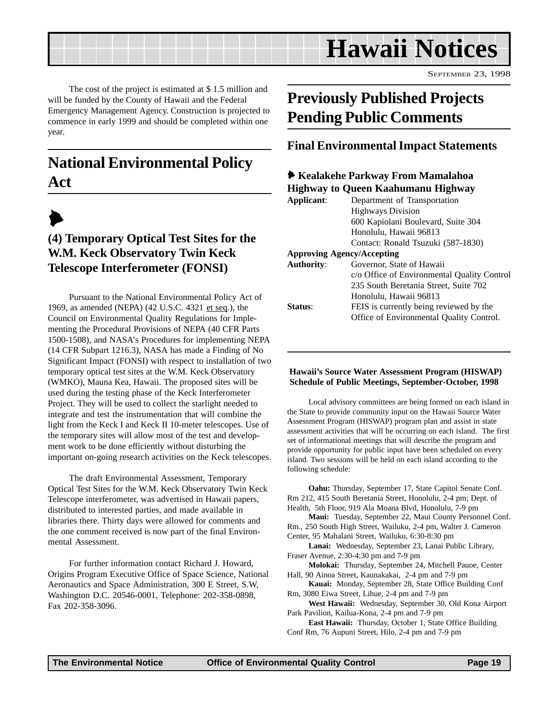<span id="page-18-0"></span>

SEPTEMBER 23, 1998

The cost of the project is estimated at \$ 1.5 million and will be funded by the County of Hawaii and the Federal Emergency Management Agency. Construction is projected to commence in early 1999 and should be completed within one year.

## **National Environmental Policy Act**

## $\blacktriangleright$

## **(4) Temporary Optical Test Sites for the W.M. Keck Observatory Twin Keck Telescope Interferometer (FONSI)**

Pursuant to the National Environmental Policy Act of 1969, as amended (NEPA) (42 U.S.C. 4321 et seq.), the Council on Environmental Quality Regulations for Implementing the Procedural Provisions of NEPA (40 CFR Parts 1500-1508), and NASA's Procedures for implementing NEPA (14 CFR Subpart 1216.3), NASA has made a Finding of No Significant Impact (FONSI) with respect to installation of two temporary optical test sites at the W.M. Keck Observatory (WMKO), Mauna Kea, Hawaii. The proposed sites will be used during the testing phase of the Keck Interferometer Project. They will be used to collect the starlight needed to integrate and test the instrumentation that will combine the light from the Keck I and Keck II 10-meter telescopes. Use of the temporary sites will allow most of the test and development work to be done efficiently without disturbing the important on-going research activities on the Keck telescopes.

The draft Environmental Assessment, Temporary Optical Test Sites for the W.M. Keck Observatory Twin Keck Telescope interferometer, was advertised in Hawaii papers, distributed to interested parties, and made available in libraries there. Thirty days were allowed for comments and the one comment received is now part of the final Environmental Assessment.

For further information contact Richard J. Howard, Origins Program Executive Office of Space Science, National Aeronautics and Space Administration, 300 E Street, S.W, Washington D.C. 20546-0001, Telephone: 202-358-0898, Fax 202-358-3096.

## **Previously Published Projects Pending Public Comments**

### **Final Environmental Impact Statements**

#### 6 **Kealakehe Parkway From Mamalahoa Highway to Queen Kaahumanu Highway Applicant**: Department of Transportation Highways Division 600 Kapiolani Boulevard, Suite 304 Honolulu, Hawaii 96813 Contact: Ronald Tsuzuki (587-1830) **Approving Agency/Accepting Authority**: Governor, State of Hawaii c/o Office of Environmental Quality Control 235 South Beretania Street, Suite 702 Honolulu, Hawaii 96813 **Status:** FEIS is currently being reviewed by the Office of Environmental Quality Control.

#### **Hawaii's Source Water Assessment Program (HISWAP) Schedule of Public Meetings, September-October, 1998**

Local advisory committees are being formed on each island in the State to provide community input on the Hawaii Source Water Assessment Program (HISWAP) program plan and assist in state assessment activities that will be occurring on each island. The first set of informational meetings that will describe the program and provide opportunity for public input have been scheduled on every island. Two sessions will be held on each island according to the following schedule:

**Oahu:** Thursday, September 17, State Capitol Senate Conf. Rm 212, 415 South Beretania Street, Honolulu, 2-4 pm; Dept. of Health, 5th Floor, 919 Ala Moana Blvd, Honolulu, 7-9 pm

**Maui:** Tuesday, September 22, Maui County Personnel Conf. Rm., 250 South High Street, Wailuku, 2-4 pm, Walter J. Cameron Center, 95 Mahalani Street, Wailuku, 6:30-8:30 pm

**Lanai:** Wednesday, September 23, Lanai Public Library, Fraser Avenue, 2:30-4:30 pm and 7-9 pm

**Molokai:** Thursday, September 24, Mitchell Pauoe, Center Hall, 90 Ainoa Street, Kaunakakai, 2-4 pm and 7-9 pm

**Kauai:** Monday, September 28, State Office Building Conf Rm, 3080 Eiwa Street, Lihue, 2-4 pm and 7-9 pm

**West Hawaii:** Wednesday, September 30, Old Kona Airport Park Pavilion, Kailua-Kona, 2-4 pm and 7-9 pm

**East Hawaii:** Thursday, October 1, State Office Building Conf Rm, 76 Aupuni Street, Hilo, 2-4 pm and 7-9 pm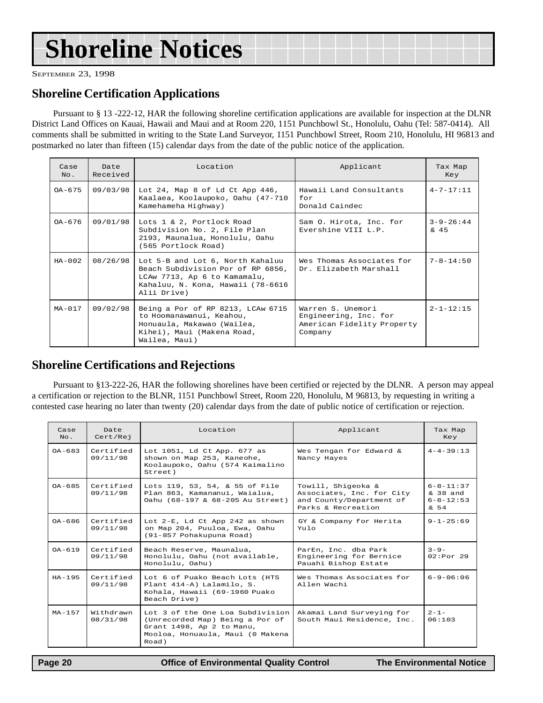## **Shoreline Notices**

SEPTEMBER 23, 1998

### **Shoreline Certification Applications**

Pursuant to § 13 -222-12, HAR the following shoreline certification applications are available for inspection at the DLNR District Land Offices on Kauai, Hawaii and Maui and at Room 220, 1151 Punchbowl St., Honolulu, Oahu (Tel: 587-0414). All comments shall be submitted in writing to the State Land Surveyor, 1151 Punchbowl Street, Room 210, Honolulu, HI 96813 and postmarked no later than fifteen (15) calendar days from the date of the public notice of the application.

| Case<br>$NQ$ . | Date<br>Received | Location                                                                                                                                                  | Applicant                                                                           | Tax Map<br>Key            |
|----------------|------------------|-----------------------------------------------------------------------------------------------------------------------------------------------------------|-------------------------------------------------------------------------------------|---------------------------|
| $OA-675$       | 09/03/98         | Lot 24, Map 8 of Ld Ct App 446,<br>Kaalaea, Koolaupoko, Oahu (47-710<br>Kamehameha Highway)                                                               | Hawaii Land Consultants<br>for<br>Donald Caindec                                    | $4 - 7 - 17:11$           |
| $0A-676$       | 09/01/98         | Lots 1 & 2, Portlock Road<br>Subdivision No. 2, File Plan<br>2193, Maunalua, Honolulu, Oahu<br>(565 Portlock Road)                                        | Sam O. Hirota, Inc. for<br>Evershine VIII L.P.                                      | $3 - 9 - 26:44$<br>$\&45$ |
| $HA - 0.02$    | 08/26/98         | Lot 5-B and Lot 6, North Kahaluu<br>Beach Subdivision Por of RP 6856,<br>LCAw 7713, Ap 6 to Kamamalu,<br>Kahaluu, N. Kona, Hawaii (78-6616<br>Alii Drive) | Wes Thomas Associates for<br>Dr. Elizabeth Marshall                                 | $7 - 8 - 14:50$           |
| $MA-017$       | 09/02/98         | Being a Por of RP 8213, LCAw 6715<br>to Hoomanawanui, Keahou,<br>Honuaula, Makawao (Wailea,<br>Kihei), Maui (Makena Road,<br>Wailea, Maui)                | Warren S. Unemori<br>Engineering, Inc. for<br>American Fidelity Property<br>Company | $2 - 1 - 12:15$           |

### **Shoreline Certifications and Rejections**

Pursuant to §13-222-26, HAR the following shorelines have been certified or rejected by the DLNR. A person may appeal a certification or rejection to the BLNR, 1151 Punchbowl Street, Room 220, Honolulu, M 96813, by requesting in writing a contested case hearing no later than twenty (20) calendar days from the date of public notice of certification or rejection.

| Case<br>$NQ$ . | Date<br>Cert/Rej      | Location                                                                                                                                      | Applicant                                                                                         | Tax Map<br>Key                                         |
|----------------|-----------------------|-----------------------------------------------------------------------------------------------------------------------------------------------|---------------------------------------------------------------------------------------------------|--------------------------------------------------------|
| $0A - 683$     | Certified<br>09/11/98 | Lot 1051, Ld Ct App. 677 as<br>shown on Map 253, Kaneohe,<br>Koolaupoko, Oahu (574 Kaimalino<br>Street)                                       | Wes Tengan for Edward &<br>Nancy Hayes                                                            | $4 - 4 - 39 : 13$                                      |
| $0A - 685$     | Certified<br>09/11/98 | Lots 119, 53, 54, & 55 of File<br>Plan 863, Kamananui, Waialua,<br>Oahu (68-197 & 68-205 Au Street)                                           | Towill, Shiqeoka &<br>Associates, Inc. for City<br>and County/Department of<br>Parks & Recreation | $6 - 8 - 11:37$<br>& 38 and<br>$6 - 8 - 12:53$<br>& 54 |
| $OA - 686$     | Certified<br>09/11/98 | Lot 2-E, Ld Ct App 242 as shown<br>on Map 204, Puuloa, Ewa, Oahu<br>(91-857 Pohakupuna Road)                                                  | GY & Company for Herita<br>Yulo                                                                   | $9 - 1 - 25:69$                                        |
| $0A-619$       | Certified<br>09/11/98 | Beach Reserve, Maunalua,<br>Honolulu, Oahu (not available,<br>Honolulu, Oahu)                                                                 | ParEn, Inc. dba Park<br>Engineering for Bernice<br>Pauahi Bishop Estate                           | $3 - 9 -$<br>$02:Por$ 29                               |
| $HA-195$       | Certified<br>09/11/98 | Lot 6 of Puako Beach Lots (HTS<br>Plant 414-A) Lalamilo, S.<br>Kohala, Hawaii (69-1960 Puako<br>Beach Drive)                                  | Wes Thomas Associates for<br>Allen Wachi                                                          | $6 - 9 - 06 : 06$                                      |
| $MA - 1.57$    | Withdrawn<br>08/31/98 | Lot 3 of the One Loa Subdivision<br>(Unrecorded Map) Being a Por of<br>Grant 1498, Ap 2 to Manu,<br>Mooloa, Honuaula, Maui (0 Makena<br>Road) | Akamai Land Surveying for<br>South Maui Residence, Inc.                                           | $2 - 1 -$<br>06:103                                    |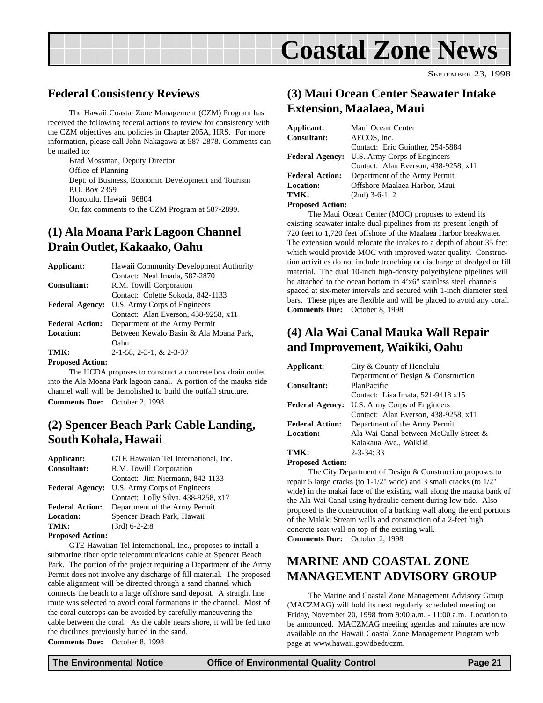<span id="page-20-0"></span>

### **Federal Consistency Reviews**

The Hawaii Coastal Zone Management (CZM) Program has received the following federal actions to review for consistency with the CZM objectives and policies in Chapter 205A, HRS. For more information, please call John Nakagawa at 587-2878. Comments can be mailed to:

Brad Mossman, Deputy Director Office of Planning Dept. of Business, Economic Development and Tourism P.O. Box 2359 Honolulu, Hawaii 96804 Or, fax comments to the CZM Program at 587-2899.

### **(1) Ala Moana Park Lagoon Channel Drain Outlet, Kakaako, Oahu**

| Applicant:              | Hawaii Community Development Authority |
|-------------------------|----------------------------------------|
|                         | Contact: Neal Imada, 587-2870          |
| <b>Consultant:</b>      | R.M. Towill Corporation                |
|                         | Contact: Colette Sokoda, 842-1133      |
| <b>Federal Agency:</b>  | U.S. Army Corps of Engineers           |
|                         | Contact: Alan Everson, 438-9258, x11   |
| <b>Federal Action:</b>  | Department of the Army Permit          |
| <b>Location:</b>        | Between Kewalo Basin & Ala Moana Park, |
|                         | Oahu                                   |
| TMK:                    | 2-1-58, 2-3-1, & 2-3-37                |
| <b>Proposed Action:</b> |                                        |

The HCDA proposes to construct a concrete box drain outlet into the Ala Moana Park lagoon canal. A portion of the mauka side channel wall will be demolished to build the outfall structure.

**Comments Due:** October 2, 1998

### **(2) Spencer Beach Park Cable Landing, South Kohala, Hawaii**

| Applicant:              | GTE Hawaiian Tel International, Inc. |  |  |
|-------------------------|--------------------------------------|--|--|
| Consultant:             | R.M. Towill Corporation              |  |  |
|                         | Contact: Jim Niermann, 842-1133      |  |  |
| <b>Federal Agency:</b>  | U.S. Army Corps of Engineers         |  |  |
|                         | Contact: Lolly Silva, 438-9258, x17  |  |  |
| <b>Federal Action:</b>  | Department of the Army Permit        |  |  |
| <b>Location:</b>        | Spencer Beach Park, Hawaii           |  |  |
| TMK:                    | $(3rd)$ 6-2-2:8                      |  |  |
| <b>Droposod</b> Action. |                                      |  |  |

**Proposed Action:**

GTE Hawaiian Tel International, Inc., proposes to install a submarine fiber optic telecommunications cable at Spencer Beach Park. The portion of the project requiring a Department of the Army Permit does not involve any discharge of fill material. The proposed cable alignment will be directed through a sand channel which connects the beach to a large offshore sand deposit. A straight line route was selected to avoid coral formations in the channel. Most of the coral outcrops can be avoided by carefully maneuvering the cable between the coral. As the cable nears shore, it will be fed into the ductlines previously buried in the sand. **Comments Due:** October 8, 1998

## **(3) Maui Ocean Center Seawater Intake Extension, Maalaea, Maui**

SEPTEMBER 23, 1998

| Applicant:              | Maui Ocean Center                    |  |  |
|-------------------------|--------------------------------------|--|--|
| Consultant:             | AECOS, Inc.                          |  |  |
|                         | Contact: Eric Guinther, 254-5884     |  |  |
| <b>Federal Agency:</b>  | U.S. Army Corps of Engineers         |  |  |
|                         | Contact: Alan Everson, 438-9258, x11 |  |  |
| <b>Federal Action:</b>  | Department of the Army Permit        |  |  |
| Location:               | Offshore Maalaea Harbor, Maui        |  |  |
| TMK:                    | $(2nd)$ 3-6-1: 2                     |  |  |
| <b>Proposed Action:</b> |                                      |  |  |

The Maui Ocean Center (MOC) proposes to extend its existing seawater intake dual pipelines from its present length of 720 feet to 1,720 feet offshore of the Maalaea Harbor breakwater. The extension would relocate the intakes to a depth of about 35 feet which would provide MOC with improved water quality. Construction activities do not include trenching or discharge of dredged or fill material. The dual 10-inch high-density polyethylene pipelines will be attached to the ocean bottom in 4'x6" stainless steel channels spaced at six-meter intervals and secured with 1-inch diameter steel bars. These pipes are flexible and will be placed to avoid any coral. **Comments Due:** October 8, 1998

## **(4) Ala Wai Canal Mauka Wall Repair and Improvement, Waikiki, Oahu**

| Applicant:             | City & County of Honolulu              |
|------------------------|----------------------------------------|
|                        | Department of Design & Construction    |
| <b>Consultant:</b>     | PlanPacific                            |
|                        | Contact: Lisa Imata, 521-9418 x15      |
| <b>Federal Agency:</b> | U.S. Army Corps of Engineers           |
|                        | Contact: Alan Everson, 438-9258, x11   |
| <b>Federal Action:</b> | Department of the Army Permit          |
| <b>Location:</b>       | Ala Wai Canal between McCully Street & |
|                        | Kalakaua Ave., Waikiki                 |
| TMK:                   | $2 - 3 - 34:33$                        |

**Proposed Action:**

The City Department of Design & Construction proposes to repair 5 large cracks (to 1-1/2" wide) and 3 small cracks (to 1/2" wide) in the makai face of the existing wall along the mauka bank of the Ala Wai Canal using hydraulic cement during low tide. Also proposed is the construction of a backing wall along the end portions of the Makiki Stream walls and construction of a 2-feet high concrete seat wall on top of the existing wall. **Comments Due:** October 2, 1998

## **MARINE AND COASTAL ZONE MANAGEMENT ADVISORY GROUP**

The Marine and Coastal Zone Management Advisory Group (MACZMAG) will hold its next regularly scheduled meeting on Friday, November 20, 1998 from 9:00 a.m. - 11:00 a.m. Location to be announced. MACZMAG meeting agendas and minutes are now available on the Hawaii Coastal Zone Management Program web page at www.hawaii.gov/dbedt/czm.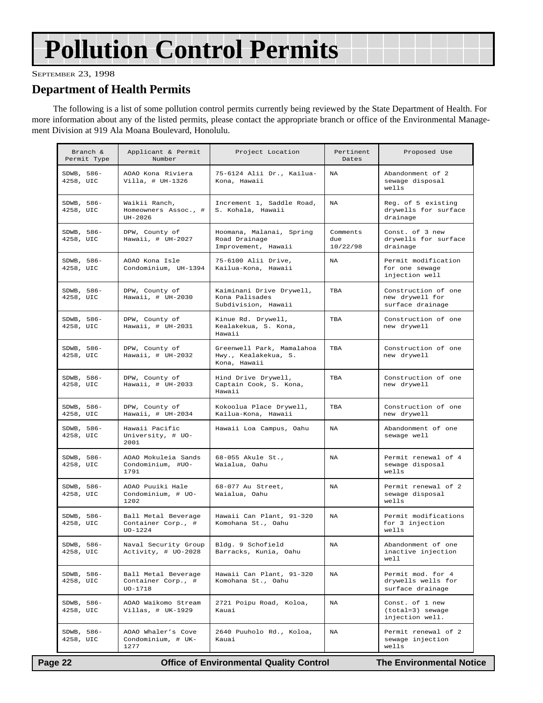## <span id="page-21-0"></span>**Pollution Control Permits**

SEPTEMBER 23, 1998

### **Department of Health Permits**

The following is a list of some pollution control permits currently being reviewed by the State Department of Health. For more information about any of the listed permits, please contact the appropriate branch or office of the Environmental Management Division at 919 Ala Moana Boulevard, Honolulu.

| Branch &<br>Permit Type | Applicant & Permit<br>Number                           | Project Location                                                  | Pertinent<br>Dates          | Proposed Use                                                |
|-------------------------|--------------------------------------------------------|-------------------------------------------------------------------|-----------------------------|-------------------------------------------------------------|
| SDWB, 586-<br>4258, UIC | AOAO Kona Riviera<br>$Villa, # UH-1326$                | 75-6124 Alii Dr., Kailua-<br>Kona, Hawaii                         | NA                          | Abandonment of 2<br>sewage disposal<br>wells                |
| SDWB, 586-<br>4258, UIC | Waikii Ranch.<br>Homeowners Assoc., #<br>UH-2026       | Increment 1, Saddle Road,<br>S. Kohala, Hawaii                    | NA                          | Reg. of 5 existing<br>drywells for surface<br>drainage      |
| SDWB, 586-<br>4258, UIC | DPW, County of<br>Hawaii, $\#$ UH-2027                 | Hoomana, Malanai, Spring<br>Road Drainage<br>Improvement, Hawaii  | Comments<br>due<br>10/22/98 | Const. of 3 new<br>drywells for surface<br>drainage         |
| SDWB, 586-<br>4258, UIC | AOAO Kona Isle<br>Condominium, UH-1394                 | 75-6100 Alii Drive,<br>Kailua-Kona, Hawaii                        | NA                          | Permit modification<br>for one sewage<br>injection well     |
| SDWB, 586-<br>4258, UIC | DPW, County of<br>Hawaii, $\#$ UH-2030                 | Kaiminani Drive Drywell,<br>Kona Palisades<br>Subdivision, Hawaii | TBA                         | Construction of one<br>new drywell for<br>surface drainage  |
| SDWB, 586-<br>4258, UIC | DPW, County of<br>Hawaii, # UH-2031                    | Kinue Rd. Drywell,<br>Kealakekua, S. Kona,<br>Hawaii              | TBA                         | Construction of one<br>new drywell                          |
| SDWB, 586-<br>4258, UIC | DPW, County of<br>Hawaii, $\#$ UH-2032                 | Greenwell Park, Mamalahoa<br>Hwy., Kealakekua, S.<br>Kona, Hawaii | TBA                         | Construction of one<br>new drywell                          |
| SDWB, 586-<br>4258, UIC | DPW, County of<br>Hawaii, $\#$ UH-2033                 | Hind Drive Drywell,<br>Captain Cook, S. Kona,<br>Hawaii           | TBA                         | Construction of one<br>new drywell                          |
| SDWB, 586-<br>4258, UIC | DPW, County of<br>Hawaii, $\#$ UH-2034                 | Kokoolua Place Drywell,<br>Kailua-Kona, Hawaii                    | TBA                         | Construction of one<br>new drywell                          |
| SDWB, 586-<br>4258, UIC | Hawaii Pacific<br>University, # UO-<br>2001            | Hawaii Loa Campus, Oahu                                           | NA                          | Abandonment of one<br>sewage well                           |
| SDWB, 586-<br>4258, UIC | AOAO Mokuleia Sands<br>Condominium, #UO-<br>1791       | 68-055 Akule St.,<br>Waialua, Oahu                                | <b>NA</b>                   | Permit renewal of 4<br>sewage disposal<br>wells             |
| SDWB, 586-<br>4258, UIC | AOAO Puuiki Hale<br>Condominium, # UO-<br>1202         | 68-077 Au Street,<br>Waialua, Oahu                                | <b>NA</b>                   | Permit renewal of 2<br>sewage disposal<br>wells             |
| SDWB, 586-<br>4258, UIC | Ball Metal Beverage<br>Container Corp., #<br>$UO-1224$ | Hawaii Can Plant, 91-320<br>Komohana St., Oahu                    | <b>NA</b>                   | Permit modifications<br>for 3 injection<br>wells            |
| SDWB, 586-<br>4258, UIC | Naval Security Group<br>Activity, # UO-2028            | Bldg. 9 Schofield<br>Barracks, Kunia, Oahu                        | NA                          | Abandonment of one<br>inactive injection<br>well            |
| SDWB, 586-<br>4258, UIC | Ball Metal Beverage<br>Container Corp., #<br>UO-1718   | Hawaii Can Plant, 91-320<br>Komohana St., Oahu                    | NA                          | Permit mod. for 4<br>drywells wells for<br>surface drainage |
| SDWB, 586-<br>4258, UIC | AOAO Waikomo Stream<br>Villas, # UK-1929               | 2721 Poipu Road, Koloa,<br>Kauai                                  | NA                          | Const. of 1 new<br>(total=3) sewage<br>injection well.      |
| SDWB, 586-<br>4258, UIC | AOAO Whaler's Cove<br>Condominium, # UK-<br>1277       | 2640 Puuholo Rd., Koloa,<br>Kauai                                 | NA                          | Permit renewal of 2<br>sewage injection<br>wells            |

 **Page 22 Control Control Control Page 22 Control Page 22 Control Page 22 Control Page 22 Control Page 22 Control Page 22 Control Page 22 Control Page 22 Control Page 22 Control Page 22 Control Page 2**